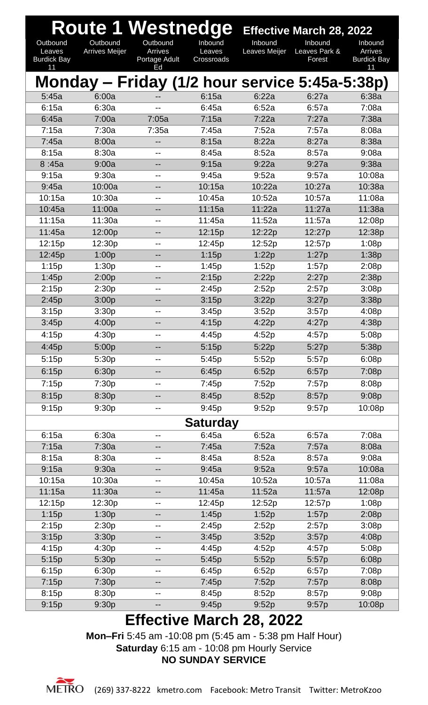|                              |                       | <b>Route 1 Westnedge</b>                       |                      |               | <b>Effective March 28, 2022</b> |                               |
|------------------------------|-----------------------|------------------------------------------------|----------------------|---------------|---------------------------------|-------------------------------|
| Outbound                     | Outbound              | Outbound<br>Arrives                            | Inbound              | Inbound       | Inbound                         | Inbound                       |
| Leaves<br><b>Burdick Bay</b> | <b>Arrives Meijer</b> | Portage Adult                                  | Leaves<br>Crossroads | Leaves Meijer | Leaves Park &<br>Forest         | Arrives<br><b>Burdick Bay</b> |
| 11                           |                       | Ed                                             |                      |               |                                 | 11                            |
|                              |                       | Monday - Friday (1/2 hour service 5:45a-5:38p) |                      |               |                                 |                               |
| 5:45a                        | 6:00a                 |                                                | 6:15a                | 6:22a         | 6:27a                           | 6:38a                         |
| 6:15a                        | 6:30a                 |                                                | 6:45a                | 6:52a         | 6:57a                           | 7:08a                         |
| 6:45a                        | 7:00a                 | 7:05a                                          | 7:15a                | 7:22a         | 7:27a                           | 7:38a                         |
| 7:15a                        | 7:30a                 | 7:35a                                          | 7:45a                | 7:52a         | 7:57a                           | 8:08a                         |
| 7:45a                        | 8:00a                 | --                                             | 8:15a                | 8:22a         | 8:27a                           | 8:38a                         |
| 8:15a                        | 8:30a                 | $-$                                            | 8:45a                | 8:52a         | 8:57a                           | 9:08a                         |
| 8:45a                        | 9:00a                 | --                                             | 9:15a                | 9:22a         | 9:27a                           | 9:38a                         |
| 9:15a                        | 9:30a                 | --                                             | 9:45a                | 9:52a         | 9:57a                           | 10:08a                        |
| 9:45a                        | 10:00a                | $-$                                            | 10:15a               | 10:22a        | 10:27a                          | 10:38a                        |
| 10:15a                       | 10:30a                | --                                             | 10:45a               | 10:52a        | 10:57a                          | 11:08a                        |
| 10:45a                       | 11:00a                | --                                             | 11:15a               | 11:22a        | 11:27a                          | 11:38a                        |
| 11:15a                       | 11:30a                | $-$                                            | 11:45a               | 11:52a        | 11:57a                          | 12:08p                        |
| 11:45a                       | 12:00p                |                                                | 12:15p               | 12:22p        | 12:27p                          | 12:38p                        |
| 12:15p                       | 12:30p                | --                                             | 12:45p               | 12:52p        | 12:57p                          | 1:08p                         |
| 12:45p                       | 1:00p                 | --                                             | 1:15p                | 1:22p         | 1:27p                           | 1:38p                         |
| 1:15p                        | 1:30p                 | $-$                                            | 1:45p                | 1:52p         | 1:57p                           | 2:08p                         |
| 1:45p                        | 2:00p                 | --                                             | 2:15p                | 2:22p         | 2:27p                           | 2:38p                         |
| 2:15p                        | 2:30p                 | --                                             | 2:45p                | 2:52p         | 2:57p                           | 3:08p                         |
| 2:45p                        | 3:00p                 | --                                             | 3:15p                | 3:22p         | 3:27p                           | 3:38p                         |
| 3:15p                        | 3:30p                 | --                                             | 3:45p                | 3:52p         | 3:57p                           | 4:08p                         |
| 3:45p                        | 4:00p                 | $\qquad \qquad -$                              | 4:15p                | 4:22p         | 4:27p                           | 4:38p                         |
| 4:15p                        | 4:30p                 |                                                | 4:45p                | 4:52p         | 4:57p                           | 5:08p                         |
| 4:45p                        | 5:00p                 | --                                             | 5:15p                | 5:22p         | 5:27p                           | 5:38p                         |
| 5:15p                        | 5:30p                 | --                                             | 5:45p                | 5:52p         | 5:57p                           | 6:08p                         |
| 6:15p                        | 6:30p                 | $\qquad \qquad -$                              | 6:45p                | 6:52p         | 6:57p                           | 7:08p                         |
| 7:15p                        | 7:30p                 | --                                             | 7:45p                | 7:52p         | 7:57p                           | 8:08p                         |
| 8:15p                        | 8:30p                 | --                                             | 8:45p                | 8:52p         | 8:57p                           | 9:08p                         |
| 9:15p                        | 9:30p                 | --                                             | 9:45p                | 9:52p         | 9:57p                           | 10:08p                        |
|                              |                       |                                                |                      |               |                                 |                               |
|                              |                       |                                                | <b>Saturday</b>      |               |                                 |                               |
| 6:15a                        | 6:30a                 | ۰.                                             | 6:45a                | 6:52a         | 6:57a                           | 7:08a                         |
| 7:15a                        | 7:30a                 | --                                             | 7:45a                | 7:52a         | 7:57a                           | 8:08a                         |
| 8:15a                        | 8:30a                 | --                                             | 8:45a                | 8:52a         | 8:57a                           | 9:08a                         |
| 9:15a                        | 9:30a                 | --                                             | 9:45a                | 9:52a         | 9:57a                           | 10:08a                        |
| 10:15a                       | 10:30a                | --                                             | 10:45a               | 10:52a        | 10:57a                          | 11:08a                        |
| 11:15a                       | 11:30a                | --                                             | 11:45a               | 11:52a        | 11:57a                          | 12:08p                        |
| 12:15p                       | 12:30p                | $- -$                                          | 12:45p               | 12:52p        | 12:57p                          | 1:08p                         |
| 1:15p                        | 1:30p                 | --                                             | 1:45p                | 1:52p         | 1:57p                           | 2:08p                         |
| 2:15p                        | 2:30p                 | --                                             | 2:45p                | 2:52p         | 2:57p                           | 3:08p                         |
| 3:15p                        | 3:30p                 | --                                             | 3:45p                | 3:52p         | 3:57p                           | 4:08p                         |
| 4:15p                        | 4:30p                 | --                                             | 4:45p                | 4:52p         | 4:57p                           | 5:08p                         |
| 5:15p                        | 5:30p                 | --                                             | 5:45p                | 5:52p         | 5:57p                           | 6:08p                         |
| 6:15p                        | 6:30p                 | --                                             | 6:45p                | 6:52p         | 6:57p                           | 7:08p                         |
| 7:15p                        | 7:30p                 | --                                             | 7:45p                | 7:52p         | 7:57p                           | 8:08p                         |
| 8:15p                        | 8:30p                 | --                                             | 8:45p                | 8:52p         | 8:57p                           | 9:08p                         |
| 9:15p                        | 9:30p                 | --                                             | 9:45p                | 9:52p         | 9:57p                           | 10:08p                        |

**Mon–Fri** 5:45 am -10:08 pm (5:45 am - 5:38 pm Half Hour) **Saturday** 6:15 am - 10:08 pm Hourly Service **NO SUNDAY SERVICE**

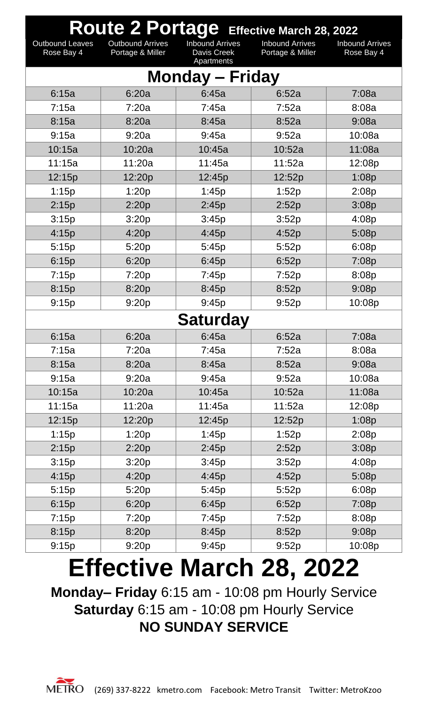| Route 2 Portage Effective March 28, 2022 |                                      |                                                     |                                            |                                      |  |  |  |  |
|------------------------------------------|--------------------------------------|-----------------------------------------------------|--------------------------------------------|--------------------------------------|--|--|--|--|
| <b>Outbound Leaves</b><br>Rose Bay 4     | Outbound Arrives<br>Portage & Miller | <b>Inbound Arrives</b><br>Davis Creek<br>Apartments | <b>Inbound Arrives</b><br>Portage & Miller | <b>Inbound Arrives</b><br>Rose Bay 4 |  |  |  |  |
| <b>Monday – Friday</b>                   |                                      |                                                     |                                            |                                      |  |  |  |  |
| 6:15a                                    | 6:20a                                | 6:45a                                               | 6:52a                                      | 7:08a                                |  |  |  |  |
| 7:15a                                    | 7:20a                                | 7:45a                                               | 7:52a                                      | 8:08a                                |  |  |  |  |
| 8:15a                                    | 8:20a                                | 8:45a                                               | 8:52a                                      | 9:08a                                |  |  |  |  |
| 9:15a                                    | 9:20a                                | 9:45a                                               | 9:52a                                      | 10:08a                               |  |  |  |  |
| 10:15a                                   | 10:20a                               | 10:45a                                              | 10:52a                                     | 11:08a                               |  |  |  |  |
| 11:15a                                   | 11:20a                               | 11:45a                                              | 11:52a                                     | 12:08p                               |  |  |  |  |
| 12:15p                                   | 12:20p                               | 12:45p                                              | 12:52p                                     | 1:08p                                |  |  |  |  |
| 1:15p                                    | 1:20p                                | 1:45p                                               | 1:52p                                      | 2:08p                                |  |  |  |  |
| 2:15p                                    | 2:20p                                | 2:45p                                               | 2:52p                                      | 3:08p                                |  |  |  |  |
| 3:15p                                    | 3:20p                                | 3:45p                                               | 3:52p                                      | 4:08p                                |  |  |  |  |
| 4:15p                                    | 4:20p                                | 4:45p                                               | 4:52p                                      | 5:08p                                |  |  |  |  |
| 5:15p                                    | 5:20p                                | 5:45p                                               | 5:52p                                      | 6:08p                                |  |  |  |  |
| 6:15p                                    | 6:20p                                | 6:45p                                               | 6:52p                                      | 7:08p                                |  |  |  |  |
| 7:15p                                    | 7:20p                                | 7:45p                                               | 7:52p                                      | 8:08p                                |  |  |  |  |
| 8:15p                                    | 8:20p                                | 8:45p                                               | 8:52p                                      | 9:08p                                |  |  |  |  |
| 9:15p                                    | 9:20p                                | 9:45p                                               | 9:52p                                      | 10:08p                               |  |  |  |  |
|                                          |                                      | <b>Saturday</b>                                     |                                            |                                      |  |  |  |  |
| 6:15a                                    | 6:20a                                | 6:45a                                               | 6:52a                                      | 7:08a                                |  |  |  |  |
| 7:15a                                    | 7:20a                                | 7:45a                                               | 7:52a                                      | 8:08a                                |  |  |  |  |
| 8:15a                                    | 8:20a                                | 8:45a                                               | 8:52a                                      | 9:08a                                |  |  |  |  |
| 9:15a                                    | 9:20a                                | 9:45a                                               | 9:52a                                      | 10:08a                               |  |  |  |  |
| 10:15a                                   | 10:20a                               | 10:45a                                              | 10:52a                                     | 11:08a                               |  |  |  |  |
| 11:15a                                   | 11:20a                               | 11:45a                                              | 11:52a                                     | 12:08p                               |  |  |  |  |
| 12:15p                                   | 12:20p                               | 12:45p                                              | 12:52p                                     | 1:08p                                |  |  |  |  |
| 1:15p                                    | 1:20p                                | 1:45p                                               | 1:52p                                      | 2:08p                                |  |  |  |  |
| 2:15p                                    | 2:20p                                | 2:45p                                               | 2:52p                                      | 3:08p                                |  |  |  |  |
| 3:15p                                    | 3:20p                                | 3:45p                                               | 3:52p                                      | 4:08p                                |  |  |  |  |
| 4:15p                                    | 4:20p                                | 4:45p                                               | 4:52p                                      | 5:08p                                |  |  |  |  |
| 5:15p                                    | 5:20p                                | 5:45p                                               | 5:52p                                      | 6:08p                                |  |  |  |  |
| 6:15p                                    | 6:20p                                | 6:45p                                               | 6:52p                                      | 7:08p                                |  |  |  |  |
| 7:15p                                    | 7:20p                                | 7:45p                                               | 7:52p                                      | 8:08p                                |  |  |  |  |
| 8:15p                                    | 8:20p                                | 8:45p                                               | 8:52p                                      | 9:08p                                |  |  |  |  |
| 9:15p                                    | 9:20p                                | 9:45p                                               | 9:52p                                      | 10:08p                               |  |  |  |  |

**Monday– Friday** 6:15 am - 10:08 pm Hourly Service **Saturday** 6:15 am - 10:08 pm Hourly Service **NO SUNDAY SERVICE**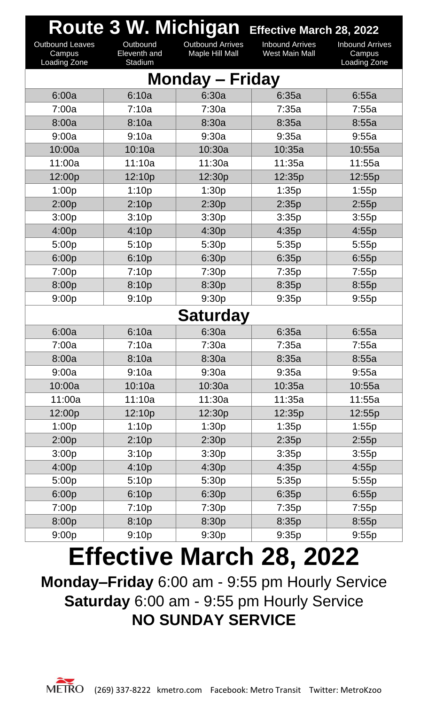|                                                  |                                     | <b>Route 3 W. Michigan</b>                 | <b>Effective March 28, 2022</b>                 |                                                  |  |  |  |
|--------------------------------------------------|-------------------------------------|--------------------------------------------|-------------------------------------------------|--------------------------------------------------|--|--|--|
| <b>Outbound Leaves</b><br>Campus<br>Loading Zone | Outbound<br>Eleventh and<br>Stadium | <b>Outbound Arrives</b><br>Maple Hill Mall | <b>Inbound Arrives</b><br><b>West Main Mall</b> | <b>Inbound Arrives</b><br>Campus<br>Loading Zone |  |  |  |
| <b>Monday - Friday</b>                           |                                     |                                            |                                                 |                                                  |  |  |  |
| 6:00a                                            | 6:10a                               | 6:30a                                      | 6:35a                                           | 6:55a                                            |  |  |  |
| 7:00a                                            | 7:10a                               | 7:30a                                      | 7:35a                                           | 7:55a                                            |  |  |  |
| 8:00a                                            | 8:10a                               | 8:30a                                      | 8:35a                                           | 8:55a                                            |  |  |  |
| 9:00a                                            | 9:10a                               | 9:30a                                      | 9:35a                                           | 9:55a                                            |  |  |  |
| 10:00a                                           | 10:10a                              | 10:30a                                     | 10:35a                                          | 10:55a                                           |  |  |  |
| 11:00a                                           | 11:10a                              | 11:30a                                     | 11:35a                                          | 11:55a                                           |  |  |  |
| 12:00p                                           | 12:10p                              | 12:30p                                     | 12:35p                                          | 12:55p                                           |  |  |  |
| 1:00p                                            | 1:10p                               | 1:30p                                      | 1:35p                                           | 1:55p                                            |  |  |  |
| 2:00p                                            | 2:10p                               | 2:30p                                      | 2:35p                                           | 2:55p                                            |  |  |  |
| 3:00p                                            | 3:10p                               | 3:30p                                      | 3:35p                                           | 3:55p                                            |  |  |  |
| 4:00p                                            | 4:10p                               | 4:30p                                      | 4:35p                                           | 4:55p                                            |  |  |  |
| 5:00p                                            | 5:10p                               | 5:30p                                      | 5:35p                                           | 5:55p                                            |  |  |  |
| 6:00p                                            | 6:10p                               | 6:30p                                      | 6:35p                                           | 6:55p                                            |  |  |  |
| 7:00p                                            | 7:10p                               | 7:30p                                      | 7:35p                                           | 7:55p                                            |  |  |  |
| 8:00p                                            | 8:10p                               | 8:30p                                      | 8:35p                                           | 8:55p                                            |  |  |  |
| 9:00p                                            | 9:10p                               | 9:30p                                      | 9:35p                                           | 9:55p                                            |  |  |  |
|                                                  |                                     | <b>Saturday</b>                            |                                                 |                                                  |  |  |  |
| 6:00a                                            | 6:10a                               | 6:30a                                      | 6:35a                                           | 6:55a                                            |  |  |  |
| 7:00a                                            | 7:10a                               | 7:30a                                      | 7:35a                                           | 7:55a                                            |  |  |  |
| 8:00a                                            | 8:10a                               | 8:30a                                      | 8:35a                                           | 8:55a                                            |  |  |  |
| 9:00a                                            | 9:10a                               | 9:30a                                      | 9:35a                                           | 9:55a                                            |  |  |  |
| 10:00a                                           | 10:10a                              | 10:30a                                     | 10:35a                                          | 10:55a                                           |  |  |  |
| 11:00a                                           | 11:10a                              | 11:30a                                     | 11:35a                                          | 11:55a                                           |  |  |  |
| 12:00p                                           | 12:10p                              | 12:30p                                     | 12:35p                                          | 12:55p                                           |  |  |  |
| 1:00p                                            | 1:10p                               | 1:30p                                      | 1:35p                                           | 1:55p                                            |  |  |  |
| 2:00p                                            | 2:10p                               | 2:30p                                      | 2:35p                                           | 2:55p                                            |  |  |  |
| 3:00p                                            | 3:10p                               | 3:30p                                      | 3:35p                                           | 3:55p                                            |  |  |  |
| 4:00p                                            | 4:10p                               | 4:30p                                      | 4:35p                                           | 4:55p                                            |  |  |  |
| 5:00p                                            | 5:10p                               | 5:30p                                      | 5:35p                                           | 5:55p                                            |  |  |  |
| 6:00p                                            | 6:10p                               | 6:30p                                      | 6:35p                                           | 6:55p                                            |  |  |  |
| 7:00p                                            | 7:10p                               | 7:30p                                      | 7:35p                                           | 7:55p                                            |  |  |  |
| 8:00p                                            | 8:10p                               | 8:30p                                      | 8:35p                                           | 8:55p                                            |  |  |  |
| 9:00p                                            | 9:10p                               | 9:30p                                      | 9:35p                                           | 9:55p                                            |  |  |  |

**Monday–Friday** 6:00 am - 9:55 pm Hourly Service **Saturday** 6:00 am - 9:55 pm Hourly Service **NO SUNDAY SERVICE**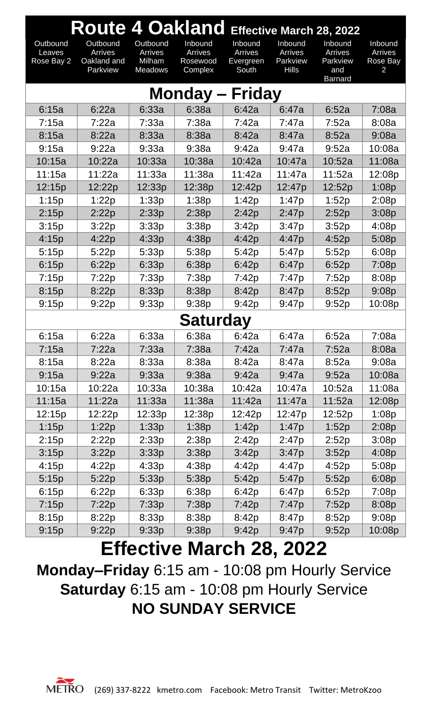|                      | Route 4 Oakland Effective March 28, 2022 |                                 |                     |                    |                     |                     |                     |
|----------------------|------------------------------------------|---------------------------------|---------------------|--------------------|---------------------|---------------------|---------------------|
| Outbound             | Outbound                                 | Outbound                        | Inbound             | Inbound            | Inbound             | Inbound             | Inbound             |
| Leaves<br>Rose Bay 2 | Arrives<br>Oakland and                   | <b>Arrives</b><br><b>Milham</b> | Arrives<br>Rosewood | Arrives            | Arrives<br>Parkview | Arrives<br>Parkview | Arrives<br>Rose Bay |
|                      | Parkview                                 | Meadows                         | Complex             | Evergreen<br>South | <b>Hills</b>        | and                 | 2                   |
|                      |                                          |                                 |                     |                    |                     | <b>Barnard</b>      |                     |
|                      |                                          |                                 | Monday –            | <b>Friday</b>      |                     |                     |                     |
| 6:15a                | 6:22a                                    | 6:33a                           | 6:38a               | 6:42a              | 6:47a               | 6:52a               | 7:08a               |
| 7:15a                | 7:22a                                    | 7:33a                           | 7:38a               | 7:42a              | 7:47a               | 7:52a               | 8:08a               |
| 8:15a                | 8:22a                                    | 8:33a                           | 8:38a               | 8:42a              | 8:47a               | 8:52a               | 9:08a               |
| 9:15a                | 9:22a                                    | 9:33a                           | 9:38a               | 9:42a              | 9:47a               | 9:52a               | 10:08a              |
| 10:15a               | 10:22a                                   | 10:33a                          | 10:38a              | 10:42a             | 10:47a              | 10:52a              | 11:08a              |
| 11:15a               | 11:22a                                   | 11:33a                          | 11:38a              | 11:42a             | 11:47a              | 11:52a              | 12:08p              |
| 12:15p               | 12:22p                                   | 12:33p                          | 12:38p              | 12:42p             | 12:47p              | 12:52p              | 1:08p               |
| 1:15p                | 1:22p                                    | 1:33p                           | 1:38p               | 1:42p              | 1:47p               | 1:52p               | 2:08p               |
| 2:15p                | 2:22p                                    | 2:33p                           | 2:38p               | 2:42p              | 2:47p               | 2:52p               | 3:08p               |
| 3:15p                | 3:22p                                    | 3:33p                           | 3:38p               | 3:42p              | 3:47p               | 3:52p               | 4:08p               |
| 4:15p                | 4:22p                                    | 4:33p                           | 4:38p               | 4:42p              | 4:47p               | 4:52p               | 5:08p               |
| 5:15p                | 5:22p                                    | 5:33p                           | 5:38p               | 5:42p              | 5:47p               | 5:52p               | 6:08p               |
| 6:15p                | 6:22p                                    | 6:33p                           | 6:38p               | 6:42p              | 6:47p               | 6:52p               | 7:08p               |
| 7:15p                | 7:22p                                    | 7:33p                           | 7:38p               | 7:42p              | 7:47p               | 7:52p               | 8:08p               |
| 8:15p                | 8:22p                                    | 8:33p                           | 8:38p               | 8:42p              | 8:47p               | 8:52p               | 9:08p               |
| 9:15p                | 9:22p                                    | 9:33p                           | 9:38p               | 9:42p              | 9:47p               | 9:52p               | 10:08p              |
|                      |                                          |                                 | <b>Saturday</b>     |                    |                     |                     |                     |
| 6:15a                | 6:22a                                    | 6:33a                           | 6:38a               | 6:42a              | 6:47a               | 6:52a               | 7:08a               |
| 7:15a                | 7:22a                                    | 7:33a                           | 7:38a               | 7:42a              | 7:47a               | 7:52a               | 8:08a               |
| 8:15a                | 8:22a                                    | 8:33a                           | 8:38a               | 8:42a              | 8:47a               | 8:52a               | 9:08a               |
| 9:15a                | 9:22a                                    | 9:33a                           | 9:38a               | 9:42a              | 9:47a               | 9:52a               | 10:08a              |
| 10:15a               | 10:22a                                   | 10:33a                          | 10:38a              | 10:42a             | 10:47a              | 10:52a              | 11:08a              |
| 11:15a               | 11:22a                                   | 11:33a                          | 11:38a              | 11:42a             | 11:47a              | 11:52a              | 12:08p              |
| 12:15p               | 12:22p                                   | 12:33p                          | 12:38p              | 12:42p             | 12:47p              | 12:52p              | 1:08p               |
| 1:15p                | 1:22p                                    | 1:33p                           | 1:38p               | 1:42p              | 1:47p               | 1:52p               | 2:08p               |
| 2:15p                | 2:22p                                    | 2:33p                           | 2:38p               | 2:42p              | 2:47p               | 2:52p               | 3:08p               |
| 3:15p                | 3:22p                                    | 3:33p                           | 3:38p               | 3:42p              | 3:47p               | 3:52p               | 4:08p               |
| 4:15p                | 4:22p                                    | 4:33p                           | 4:38p               | 4:42p              | 4:47p               | 4:52p               | 5:08p               |
| 5:15p                | 5:22p                                    | 5:33p                           | 5:38p               | 5:42p              | 5:47p               | 5:52p               | 6:08p               |
| 6:15p                | 6:22p                                    | 6:33p                           | 6:38p               | 6:42p              | 6:47p               | 6:52p               | 7:08p               |
| 7:15p                | 7:22p                                    | 7:33p                           | 7:38p               | 7:42p              | 7:47p               | 7:52p               | 8:08p               |
| 8:15p                | 8:22p                                    | 8:33p                           | 8:38p               | 8:42p              | 8:47p               | 8:52p               | 9:08p               |
| 9:15p                | 9:22p                                    | 9:33p                           | 9:38p               | 9:42p              | 9:47p               | 9:52p               | 10:08p              |

**Effective March 28, 2022 Monday–Friday** 6:15 am - 10:08 pm Hourly Service **Saturday** 6:15 am - 10:08 pm Hourly Service **NO SUNDAY SERVICE**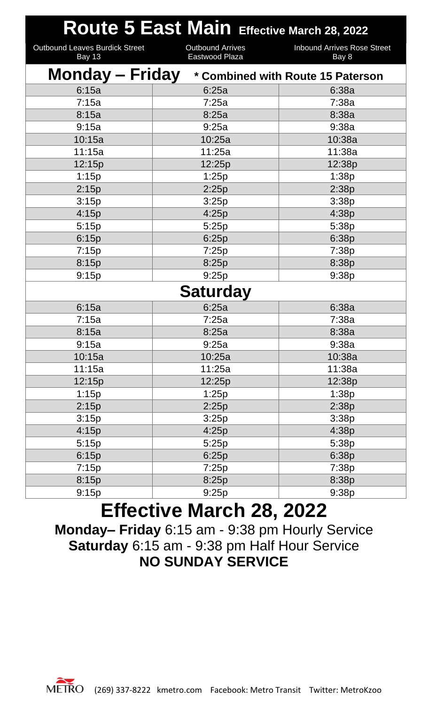|                                                        | Route 5 East Main Effective March 28, 2022 |                                             |
|--------------------------------------------------------|--------------------------------------------|---------------------------------------------|
| <b>Outbound Leaves Burdick Street</b><br><b>Bay 13</b> | <b>Outbound Arrives</b><br>Eastwood Plaza  | <b>Inbound Arrives Rose Street</b><br>Bay 8 |
| <b>Monday - Friday</b>                                 |                                            | * Combined with Route 15 Paterson           |
| 6:15a                                                  | 6:25a                                      | 6:38a                                       |
| 7:15a                                                  | 7:25a                                      | 7:38a                                       |
| 8:15a                                                  | 8:25a                                      | 8:38a                                       |
| 9:15a                                                  | 9:25a                                      | 9:38a                                       |
| 10:15a                                                 | 10:25a                                     | 10:38a                                      |
| 11:15a                                                 | 11:25a                                     | 11:38a                                      |
| 12:15p                                                 | 12:25p                                     | 12:38p                                      |
| 1:15p                                                  | 1:25p                                      | 1:38p                                       |
| 2:15p                                                  | 2:25p                                      | 2:38p                                       |
| 3:15p                                                  | 3:25p                                      | 3:38p                                       |
| 4:15p                                                  | 4:25p                                      | 4:38p                                       |
| 5:15p                                                  | 5:25p                                      | 5:38p                                       |
| 6:15p                                                  | 6:25p                                      | 6:38p                                       |
| 7:15p                                                  | 7:25p                                      | 7:38p                                       |
| 8:15p                                                  | 8:25p                                      | 8:38p                                       |
| 9:15p                                                  | 9:25p                                      | 9:38p                                       |
|                                                        | <b>Saturday</b>                            |                                             |
| 6:15a                                                  | 6:25a                                      | 6:38a                                       |
| 7:15a                                                  | 7:25a                                      | 7:38a                                       |
| 8:15a                                                  | 8:25a                                      | 8:38a                                       |
| 9:15a                                                  | 9:25a                                      | 9:38a                                       |
| 10:15a                                                 | 10:25a                                     | 10:38a                                      |
| 11:15a                                                 | 11:25a                                     | 11:38a                                      |
| 12:15p                                                 | 12:25p                                     | 12:38p                                      |
| 1:15p                                                  | 1:25p                                      | 1:38p                                       |
| 2:15p                                                  | 2:25p                                      | 2:38p                                       |
| 3:15p                                                  | 3:25p                                      | 3:38p                                       |
| 4:15p                                                  | 4:25p                                      | 4:38p                                       |
| 5:15p                                                  | 5:25p                                      | 5:38p                                       |
| 6:15p                                                  | 6:25p                                      | 6:38p                                       |
| 7:15p                                                  | 7:25p                                      | 7:38p                                       |
| 8:15p                                                  | 8:25p                                      | 8:38p                                       |
| 9:15p                                                  | 9:25p                                      | 9:38p                                       |

**Monday– Friday** 6:15 am - 9:38 pm Hourly Service **Saturday** 6:15 am - 9:38 pm Half Hour Service **NO SUNDAY SERVICE**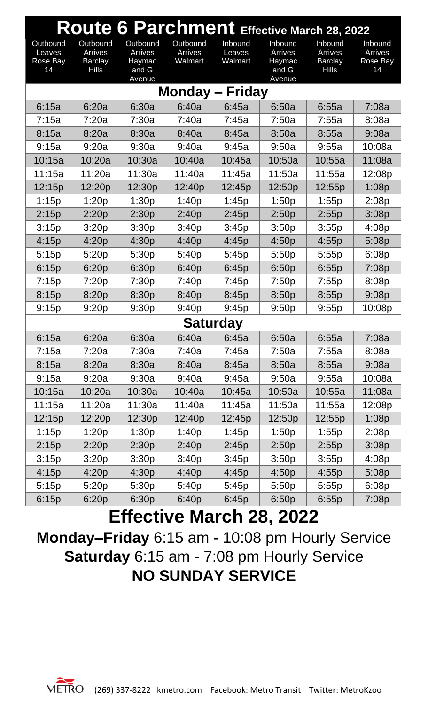|                                      | Route 6 Parchment Effective March 28, 2022            |                                                  |                                |                              |                                                        |                                                      |                                             |  |
|--------------------------------------|-------------------------------------------------------|--------------------------------------------------|--------------------------------|------------------------------|--------------------------------------------------------|------------------------------------------------------|---------------------------------------------|--|
| Outbound<br>Leaves<br>Rose Bay<br>14 | Outbound<br>Arrives<br><b>Barclay</b><br><b>Hills</b> | Outbound<br>Arrives<br>Haymac<br>and G<br>Avenue | Outbound<br>Arrives<br>Walmart | Inbound<br>Leaves<br>Walmart | Inbound<br><b>Arrives</b><br>Haymac<br>and G<br>Avenue | Inbound<br>Arrives<br><b>Barclay</b><br><b>Hills</b> | Inbound<br><b>Arrives</b><br>Rose Bay<br>14 |  |
|                                      |                                                       |                                                  | <b>Monday – Friday</b>         |                              |                                                        |                                                      |                                             |  |
| 6:15a                                | 6:20a                                                 | 6:30a                                            | 6:40a                          | 6:45a                        | 6:50a                                                  | 6:55a                                                | 7:08a                                       |  |
| 7:15a                                | 7:20a                                                 | 7:30a                                            | 7:40a                          | 7:45a                        | 7:50a                                                  | 7:55a                                                | 8:08a                                       |  |
| 8:15a                                | 8:20a                                                 | 8:30a                                            | 8:40a                          | 8:45a                        | 8:50a                                                  | 8:55a                                                | 9:08a                                       |  |
| 9:15a                                | 9:20a                                                 | 9:30a                                            | 9:40a                          | 9:45a                        | 9:50a                                                  | 9:55a                                                | 10:08a                                      |  |
| 10:15a                               | 10:20a                                                | 10:30a                                           | 10:40a                         | 10:45a                       | 10:50a                                                 | 10:55a                                               | 11:08a                                      |  |
| 11:15a                               | 11:20a                                                | 11:30a                                           | 11:40a                         | 11:45a                       | 11:50a                                                 | 11:55a                                               | 12:08p                                      |  |
| 12:15p                               | 12:20p                                                | 12:30p                                           | 12:40p                         | 12:45p                       | 12:50p                                                 | 12:55p                                               | 1:08p                                       |  |
| 1:15p                                | 1:20p                                                 | 1:30p                                            | 1:40p                          | 1:45p                        | 1:50p                                                  | 1:55p                                                | 2:08p                                       |  |
| 2:15p                                | 2:20p                                                 | 2:30p                                            | 2:40p                          | 2:45p                        | 2:50p                                                  | 2:55p                                                | 3:08p                                       |  |
| 3:15p                                | 3:20p                                                 | 3:30p                                            | 3:40p                          | 3:45p                        | 3:50p                                                  | 3:55p                                                | 4:08p                                       |  |
| 4:15p                                | 4:20p                                                 | 4:30p                                            | 4:40p                          | 4:45p                        | 4:50p                                                  | 4:55p                                                | 5:08p                                       |  |
| 5:15p                                | 5:20p                                                 | 5:30p                                            | 5:40p                          | 5:45p                        | 5:50p                                                  | 5:55p                                                | 6:08p                                       |  |
| 6:15p                                | 6:20p                                                 | 6:30p                                            | 6:40p                          | 6:45p                        | 6:50p                                                  | 6:55p                                                | 7:08p                                       |  |
| 7:15p                                | 7:20p                                                 | 7:30p                                            | 7:40p                          | 7:45p                        | 7:50p                                                  | 7:55p                                                | 8:08p                                       |  |
| 8:15p                                | 8:20p                                                 | 8:30p                                            | 8:40p                          | 8:45p                        | 8:50p                                                  | 8:55p                                                | 9:08p                                       |  |
| 9:15p                                | 9:20p                                                 | 9:30p                                            | 9:40p                          | 9:45p                        | 9:50p                                                  | 9:55p                                                | 10:08p                                      |  |
|                                      |                                                       |                                                  |                                | <b>Saturday</b>              |                                                        |                                                      |                                             |  |
| 6:15a                                | 6:20a                                                 | 6:30a                                            | 6:40a                          | 6:45a                        | 6:50a                                                  | 6:55a                                                | 7:08a                                       |  |
| 7:15a                                | 7:20a                                                 | 7:30a                                            | 7:40a                          | 7:45a                        | 7:50a                                                  | 7:55a                                                | 8:08a                                       |  |
| 8:15a                                | 8:20a                                                 | 8:30a                                            | 8:40a                          | 8:45a                        | 8:50a                                                  | 8:55a                                                | 9:08a                                       |  |
| 9:15a                                | 9:20a                                                 | 9:30a                                            | 9:40a                          | 9:45a                        | 9:50a                                                  | 9:55a                                                | 10:08a                                      |  |
| 10:15a                               | 10:20a                                                | 10:30a                                           | 10:40a                         | 10:45a                       | 10:50a                                                 | 10:55a                                               | 11:08a                                      |  |
| 11:15a                               | 11:20a                                                | 11:30a                                           | 11:40a                         | 11:45a                       | 11:50a                                                 | 11:55a                                               | 12:08p                                      |  |
| 12:15p                               | 12:20p                                                | 12:30p                                           | 12:40p                         | 12:45p                       | 12:50p                                                 | 12:55p                                               | 1:08p                                       |  |
| 1:15p                                | 1:20p                                                 | 1:30p                                            | 1:40p                          | 1:45p                        | 1:50p                                                  | 1:55p                                                | 2:08p                                       |  |
| 2:15p                                | 2:20p                                                 | 2:30p                                            | 2:40p                          | 2:45p                        | 2:50p                                                  | 2:55p                                                | 3:08p                                       |  |
| 3:15p                                | 3:20p                                                 | 3:30p                                            | 3:40p                          | 3:45p                        | 3:50p                                                  | 3:55p                                                | 4:08p                                       |  |
| 4:15p                                | 4:20p                                                 | 4:30p                                            | 4:40p                          | 4:45p                        | 4:50p                                                  | 4:55p                                                | 5:08p                                       |  |
| 5:15p                                | 5:20p                                                 | 5:30p                                            | 5:40p                          | 5:45p                        | 5:50p                                                  | 5:55p                                                | 6:08p                                       |  |
| 6:15p                                | 6:20p                                                 | 6:30p                                            | 6:40p                          | 6:45p                        | 6:50p                                                  | 6:55p                                                | 7:08p                                       |  |

**Effective March 28, 2022 Monday–Friday** 6:15 am - 10:08 pm Hourly Service **Saturday** 6:15 am - 7:08 pm Hourly Service **NO SUNDAY SERVICE**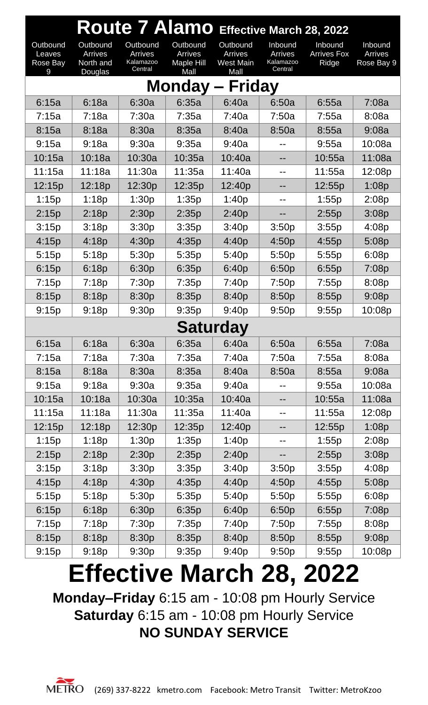|                                     |                                             | Route 7 Alamo Effective March 28, 2022      |                                                  |                                                 |                                            |                                        |                                  |
|-------------------------------------|---------------------------------------------|---------------------------------------------|--------------------------------------------------|-------------------------------------------------|--------------------------------------------|----------------------------------------|----------------------------------|
| Outbound<br>Leaves<br>Rose Bay<br>9 | Outbound<br>Arrives<br>North and<br>Douglas | Outbound<br>Arrives<br>Kalamazoo<br>Central | Outbound<br><b>Arrives</b><br>Maple Hill<br>Mall | Outbound<br>Arrives<br><b>West Main</b><br>Mall | Inbound<br>Arrives<br>Kalamazoo<br>Central | Inbound<br><b>Arrives Fox</b><br>Ridge | Inbound<br>Arrives<br>Rose Bay 9 |
|                                     |                                             |                                             | <b>Monday</b>                                    | <b>Friday</b>                                   |                                            |                                        |                                  |
| 6:15a                               | 6:18a                                       | 6:30a                                       | 6:35a                                            | 6:40a                                           | 6:50a                                      | 6:55a                                  | 7:08a                            |
| 7:15a                               | 7:18a                                       | 7:30a                                       | 7:35a                                            | 7:40a                                           | 7:50a                                      | 7:55a                                  | 8:08a                            |
| 8:15a                               | 8:18a                                       | 8:30a                                       | 8:35a                                            | 8:40a                                           | 8:50a                                      | 8:55a                                  | 9:08a                            |
| 9:15a                               | 9:18a                                       | 9:30a                                       | 9:35a                                            | 9:40a                                           | --                                         | 9:55a                                  | 10:08a                           |
| 10:15a                              | 10:18a                                      | 10:30a                                      | 10:35a                                           | 10:40a                                          | --                                         | 10:55a                                 | 11:08a                           |
| 11:15a                              | 11:18a                                      | 11:30a                                      | 11:35a                                           | 11:40a                                          | --                                         | 11:55a                                 | 12:08p                           |
| 12:15p                              | 12:18p                                      | 12:30p                                      | 12:35p                                           | 12:40p                                          | --                                         | 12:55p                                 | 1:08p                            |
| 1:15p                               | 1:18p                                       | 1:30p                                       | 1:35p                                            | 1:40p                                           | --                                         | 1:55p                                  | 2:08p                            |
| 2:15p                               | 2:18p                                       | 2:30p                                       | 2:35p                                            | 2:40p                                           | --                                         | 2:55p                                  | 3:08p                            |
| 3:15p                               | 3:18p                                       | 3:30p                                       | 3:35p                                            | 3:40p                                           | 3:50p                                      | 3:55p                                  | 4:08p                            |
| 4:15p                               | 4:18p                                       | 4:30p                                       | 4:35p                                            | 4:40p                                           | 4:50p                                      | 4:55p                                  | 5:08p                            |
| 5:15p                               | 5:18p                                       | 5:30p                                       | 5:35p                                            | 5:40p                                           | 5:50p                                      | 5:55p                                  | 6:08p                            |
| 6:15p                               | 6:18p                                       | 6:30p                                       | 6:35p                                            | 6:40p                                           | 6:50p                                      | 6:55p                                  | 7:08p                            |
| 7:15p                               | 7:18p                                       | 7:30p                                       | 7:35p                                            | 7:40p                                           | 7:50p                                      | 7:55p                                  | 8:08p                            |
| 8:15p                               | 8:18p                                       | 8:30p                                       | 8:35p                                            | 8:40p                                           | 8:50p                                      | 8:55p                                  | 9:08p                            |
| 9:15p                               | 9:18p                                       | 9:30p                                       | 9:35p                                            | 9:40p                                           | 9:50p                                      | 9:55p                                  | 10:08p                           |
|                                     |                                             |                                             |                                                  | <b>Saturday</b>                                 |                                            |                                        |                                  |
| 6:15a                               | 6:18a                                       | 6:30a                                       | 6:35a                                            | 6:40a                                           | 6:50a                                      | 6:55a                                  | 7:08a                            |
| 7:15a                               | 7:18a                                       | 7:30a                                       | 7:35a                                            | 7:40a                                           | 7:50a                                      | 7:55a                                  | 8:08a                            |
| 8:15a                               | 8:18a                                       | 8:30a                                       | 8:35a                                            | 8:40a                                           | 8:50a                                      | 8:55a                                  | 9:08a                            |
| 9:15a                               | 9:18a                                       | 9:30a                                       | 9:35a                                            | 9:40a                                           | --                                         | 9:55a                                  | 10:08a                           |
| 10:15a                              | 10:18a                                      | 10:30a                                      | 10:35a                                           | 10:40a                                          | --                                         | 10:55a                                 | 11:08a                           |
| 11:15a                              | 11:18a                                      | 11:30a                                      | 11:35a                                           | 11:40a                                          | $\sim$ $\sim$                              | 11:55a                                 | 12:08p                           |
| 12:15p                              | 12:18p                                      | 12:30p                                      | 12:35p                                           | 12:40p                                          | --                                         | 12:55p                                 | 1:08p                            |
| 1:15p                               | 1:18p                                       | 1:30p                                       | 1:35p                                            | 1:40p                                           | --                                         | 1:55p                                  | 2:08p                            |
| 2:15p                               | 2:18p                                       | 2:30p                                       | 2:35p                                            | 2:40p                                           | --                                         | 2:55p                                  | 3:08p                            |
| 3:15p                               | 3:18p                                       | 3:30p                                       | 3:35p                                            | 3:40p                                           | 3:50p                                      | 3:55p                                  | 4:08p                            |
| 4:15p                               | 4:18p                                       | 4:30p                                       | 4:35p                                            | 4:40p                                           | 4:50p                                      | 4:55p                                  | 5:08p                            |
| 5:15p                               | 5:18p                                       | 5:30p                                       | 5:35p                                            | 5:40p                                           | 5:50p                                      | 5:55p                                  | 6:08p                            |
| 6:15p                               | 6:18p                                       | 6:30p                                       | 6:35p                                            | 6:40p                                           | 6:50p                                      | 6:55p                                  | 7:08p                            |
| 7:15p                               | 7:18p                                       | 7:30p                                       | 7:35p                                            | 7:40p                                           | 7:50p                                      | 7:55p                                  | 8:08p                            |
| 8:15p                               | 8:18p                                       | 8:30p                                       | 8:35p                                            | 8:40p                                           | 8:50p                                      | 8:55p                                  | 9:08p                            |
| 9:15p                               | 9:18p                                       | 9:30p                                       | 9:35p                                            | 9:40p                                           | 9:50p                                      | 9:55p                                  | 10:08p                           |

**Monday–Friday** 6:15 am - 10:08 pm Hourly Service **Saturday** 6:15 am - 10:08 pm Hourly Service **NO SUNDAY SERVICE**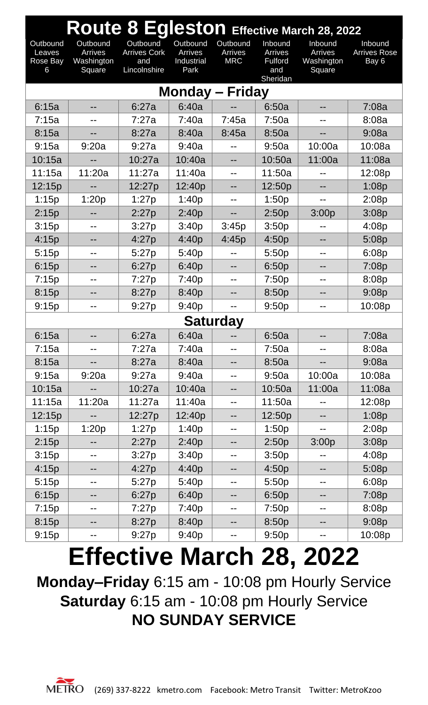|                                     | Route 8 Egleston Effective March 28, 2022   |                                                        |                                                  |                                   |                                      |                                            |                                         |  |
|-------------------------------------|---------------------------------------------|--------------------------------------------------------|--------------------------------------------------|-----------------------------------|--------------------------------------|--------------------------------------------|-----------------------------------------|--|
| Outbound<br>Leaves<br>Rose Bay<br>6 | Outbound<br>Arrives<br>Washington<br>Square | Outbound<br><b>Arrives Cork</b><br>and<br>Lincolnshire | Outbound<br><b>Arrives</b><br>Industrial<br>Park | Outbound<br>Arrives<br><b>MRC</b> | Inbound<br>Arrives<br>Fulford<br>and | Inbound<br>Arrives<br>Washington<br>Square | Inbound<br><b>Arrives Rose</b><br>Bay 6 |  |
|                                     |                                             |                                                        |                                                  | <b>Monday - Friday</b>            | Sheridan                             |                                            |                                         |  |
| 6:15a                               |                                             | 6:27a                                                  | 6:40a                                            |                                   | 6:50a                                |                                            | 7:08a                                   |  |
| 7:15a                               |                                             | 7:27a                                                  | 7:40a                                            | 7:45a                             | 7:50a                                |                                            | 8:08a                                   |  |
| 8:15a                               |                                             | 8:27a                                                  | 8:40a                                            | 8:45a                             | 8:50a                                |                                            | 9:08a                                   |  |
| 9:15a                               | 9:20a                                       | 9:27a                                                  | 9:40a                                            | --                                | 9:50a                                | 10:00a                                     | 10:08a                                  |  |
| 10:15a                              |                                             | 10:27a                                                 | 10:40a                                           | $- -$                             | 10:50a                               | 11:00a                                     | 11:08a                                  |  |
| 11:15a                              | 11:20a                                      | 11:27a                                                 | 11:40a                                           | $\sim$ $\sim$                     | 11:50a                               |                                            | 12:08p                                  |  |
| 12:15p                              |                                             | 12:27p                                                 | 12:40p                                           | --                                | 12:50p                               |                                            | 1:08p                                   |  |
| 1:15p                               | 1:20p                                       | 1:27p                                                  | 1:40p                                            | --                                | 1:50p                                |                                            | 2:08p                                   |  |
| 2:15p                               |                                             | 2:27p                                                  | 2:40p                                            | --                                | 2:50p                                | 3:00p                                      | 3:08p                                   |  |
| 3:15p                               |                                             | 3:27p                                                  | 3:40p                                            | 3:45p                             | 3:50p                                |                                            | 4:08p                                   |  |
| 4:15p                               |                                             | 4:27p                                                  | 4:40p                                            | 4:45p                             | 4:50p                                |                                            | 5:08p                                   |  |
| 5:15p                               | $ -$                                        | 5:27p                                                  | 5:40p                                            | --                                | 5:50p                                | --                                         | 6:08p                                   |  |
| 6:15p                               |                                             | 6:27p                                                  | 6:40p                                            | $- -$                             | 6:50p                                |                                            | 7:08p                                   |  |
| 7:15p                               |                                             | 7:27p                                                  | 7:40p                                            | --                                | 7:50p                                |                                            | 8:08p                                   |  |
| 8:15p                               |                                             | 8:27p                                                  | 8:40p                                            | --                                | 8:50p                                |                                            | 9:08p                                   |  |
| 9:15p                               |                                             | 9:27p                                                  | 9:40p                                            |                                   | 9:50p                                |                                            | 10:08p                                  |  |
|                                     |                                             |                                                        |                                                  | <b>Saturday</b>                   |                                      |                                            |                                         |  |
| 6:15a                               |                                             | 6:27a                                                  | 6:40a                                            | --                                | 6:50a                                |                                            | 7:08a                                   |  |
| 7:15a                               | --                                          | 7:27a                                                  | 7:40a                                            | $- -$                             | 7:50a                                |                                            | 8:08a                                   |  |
| 8:15a                               |                                             | 8:27a                                                  | 8:40a                                            | --                                | 8:50a                                |                                            | 9:08a                                   |  |
| 9:15a                               | 9:20a                                       | 9:27a                                                  | 9:40a                                            | $- -$                             | 9:50a                                | 10:00a                                     | 10:08a                                  |  |
| 10:15a                              |                                             | 10:27a                                                 | 10:40a                                           | --                                | 10:50a                               | 11:00a                                     | 11:08a                                  |  |
| 11:15a                              | 11:20a                                      | 11:27a                                                 | 11:40a                                           | ۰.                                | 11:50a                               |                                            | 12:08p                                  |  |
| 12:15p                              |                                             | 12:27p                                                 | 12:40p                                           | --                                | 12:50p                               | --                                         | 1:08p                                   |  |
| 1:15p                               | 1:20p                                       | 1:27p                                                  | 1:40p                                            | $- -$                             | 1:50p                                | --                                         | 2:08p                                   |  |
| 2:15p                               |                                             | 2:27p                                                  | 2:40p                                            | --                                | 2:50p                                | 3:00p                                      | 3:08p                                   |  |
| 3:15p                               | --                                          | 3:27p                                                  | 3:40p                                            | --                                | 3:50p                                |                                            | 4:08p                                   |  |
| 4:15p                               |                                             | 4:27p                                                  | 4:40p                                            | --                                | 4:50p                                |                                            | 5:08p                                   |  |
| 5:15p                               |                                             | 5:27p                                                  | 5:40p                                            | --                                | 5:50p                                |                                            | 6:08p                                   |  |
| 6:15p                               |                                             | 6:27p                                                  | 6:40p                                            | --                                | 6:50p                                |                                            | 7:08p                                   |  |
| 7:15p                               | $- -$                                       | 7:27p                                                  | 7:40p                                            | $\overline{\phantom{a}}$          | 7:50p                                | $- -$                                      | 8:08p                                   |  |
| 8:15p                               | --                                          | 8:27p                                                  | 8:40p                                            | --                                | 8:50p                                |                                            | 9:08p                                   |  |
| 9:15p                               | --                                          | 9:27p                                                  | 9:40p                                            | --                                | 9:50p                                |                                            | 10:08p                                  |  |

**Monday–Friday** 6:15 am - 10:08 pm Hourly Service **Saturday** 6:15 am - 10:08 pm Hourly Service **NO SUNDAY SERVICE**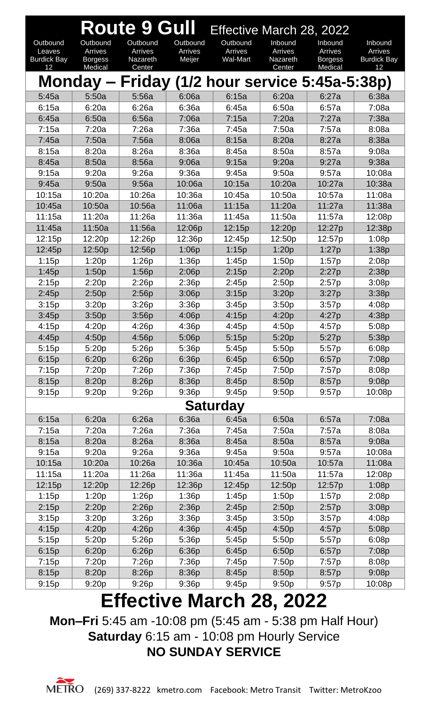|                              |                           | <b>Route 9 Gull</b> |                   | Effective March 28, 2022                |                     |                           |                               |
|------------------------------|---------------------------|---------------------|-------------------|-----------------------------------------|---------------------|---------------------------|-------------------------------|
| Outbound                     | Outbound                  | Outbound            | Outbound          | Outbound                                | Inbound             | Inbound                   | Inbound                       |
| Leaves<br><b>Burdick Bay</b> | Arrives<br><b>Borgess</b> | Arrives<br>Nazareth | Arrives<br>Meijer | Arrives<br>Wal-Mart                     | Arrives<br>Nazareth | Arrives<br><b>Borgess</b> | Arrives<br><b>Burdick Bay</b> |
| 12                           | Medical                   | Center              |                   |                                         | Center              | Medical                   | 12                            |
| <b>Monday</b>                |                           |                     |                   | - Friday (1/2 hour service 5:45a-5:38p) |                     |                           |                               |
| 5:45a                        | 5:50a                     | 5:56a               | 6:06a             | 6:15a                                   | 6:20a               | 6:27a                     | 6:38a                         |
| 6:15a                        | 6:20a                     | 6:26a               | 6:36a             | 6:45a                                   | 6:50a               | 6:57a                     | 7:08a                         |
| 6:45a                        | 6:50a                     | 6:56a               | 7:06a             | 7:15a                                   | 7:20a               | 7:27a                     | 7:38a                         |
| 7:15a                        | 7:20a                     | 7:26a               | 7:36a             | 7:45a                                   | 7:50a               | 7:57a                     | 8:08a                         |
| 7:45a                        | 7:50a                     | 7:56a               | 8:06a             | 8:15a                                   | 8:20a               | 8:27a                     | 8:38a                         |
| 8:15a                        | 8:20a                     | 8:26a               | 8:36a             | 8:45a                                   | 8:50a               | 8:57a                     | 9:08a                         |
| 8:45a                        | 8:50a                     | 8:56a               | 9:06a             | 9:15a                                   | 9:20a               | 9:27a                     | 9:38a                         |
| 9:15a                        | 9:20a                     | 9:26a               | 9:36a             | 9:45a                                   | 9:50a               | 9:57a                     | 10:08a                        |
| 9:45a                        | 9:50a                     | 9:56a               | 10:06a            | 10:15a                                  | 10:20a              | 10:27a                    | 10:38a                        |
| 10:15a                       | 10:20a                    | 10:26a              | 10:36a            | 10:45a                                  | 10:50a              | 10:57a                    | 11:08a                        |
| 10:45a                       | 10:50a                    | 10:56a              | 11:06a            | 11:15a                                  | 11:20a              | 11:27a                    | 11:38a                        |
| 11:15a                       | 11:20a                    | 11:26a              | 11:36a            | 11:45a                                  | 11:50a              | 11:57a                    | 12:08p                        |
| 11:45a                       | 11:50a                    | 11:56a              | 12:06p            | 12:15p                                  | 12:20p              | 12:27p                    | 12:38p                        |
| 12:15p                       | 12:20p                    | 12:26p              | 12:36p            | 12:45p                                  | 12:50p              | 12:57p                    | 1:08p                         |
| 12:45p                       | 12:50p                    | 12:56p              | 1:06p             | 1:15p                                   | 1:20p               | 1:27p                     | 1:38p                         |
| 1:15p                        | 1:20p                     | 1:26p               | 1:36p             | 1:45p                                   | 1:50p               | 1:57p                     | 2:08p                         |
| 1:45p                        | 1:50p                     | 1:56p               | 2:06p             | 2:15p                                   | 2:20p               | 2:27p                     | 2:38p                         |
| 2:15p                        | 2:20p                     | 2:26p               | 2:36p             | 2:45p                                   | 2:50p               | 2:57p                     | 3:08p                         |
| 2:45p                        | 2:50p                     | 2:56p               | 3:06p             | 3:15p                                   | 3:20p               | 3:27p                     | 3:38p                         |
| 3:15p                        | 3:20p                     | 3:26p               | 3:36p             | 3:45p                                   | 3:50p               | 3:57p                     | 4:08p                         |
| 3:45p                        | 3:50p                     | 3:56p               | 4:06p             | 4:15p                                   | 4:20p               | 4:27p                     | 4:38p                         |
| <u>4:15p</u>                 | 4:20p                     | 4:26p               | 4:36p             | <u>4:45p</u>                            | <u>4:50p</u>        | 4:57p                     | 5:08p                         |
| 4:45p                        | 4:50p                     | 4:56p               | 5:06p             | 5:15p                                   | 5:20p               | 5:27p                     | 5:38p                         |
| 5:15p                        | 5:20p                     | 5:26p               | 5:36p             | 5:45p                                   | 5:50p               | 5:57p                     | 6:08p                         |
| 6:15p                        | 6:20p                     | 6:26p               | 6:36p             | 6:45p                                   | 6:50p               | 6:57p                     | 7:08p                         |
| 7:15p                        | 7:20p                     | 7:26p               | 7:36p             | 7:45p                                   | 7:50p               | 7:57p                     | 8:08p                         |
| 8:15p                        | 8:20p                     | 8:26p               | 8:36p             | 8:45p                                   | 8:50p               | 8:57p                     | 9:08p                         |
| 9:15p                        | 9:20p                     | 9:26p               | 9:36p             | 9:45p                                   | 9:50p               | 9:57p                     | 10:08p                        |
|                              |                           |                     |                   | <b>Saturday</b>                         |                     |                           |                               |
| 6:15a                        | 6:20a                     | 6:26a               | 6:36a             | 6:45a                                   | 6:50a               | 6:57a                     | 7:08a                         |
| 7:15a                        | 7:20a                     | 7:26a               | 7:36a             | 7:45a                                   | 7:50a               | 7:57a                     | 8:08a                         |
| 8:15a                        | 8:20a                     | 8:26a               | 8:36a             | 8:45a                                   | 8:50a               | 8:57a                     | 9:08a                         |
| 9:15a                        | 9:20a                     | 9:26a               | 9:36a             | 9:45a                                   | 9:50a               | 9:57a                     | 10:08a                        |
| 10:15a                       | 10:20a                    | 10:26a              | 10:36a            | 10:45a                                  | 10:50a              | 10:57a                    | 11:08a                        |
| 11:15a                       | 11:20a                    | 11:26a              | 11:36a            | 11:45a                                  | 11:50a              | 11:57a                    | 12:08p                        |
| 12:15p                       | 12:20p                    | 12:26p              | 12:36p            | 12:45p                                  | 12:50p              | 12:57p                    | 1:08p                         |
| 1:15p                        | 1:20p                     | 1:26p               | 1:36p             | 1:45p                                   | 1:50p               | 1:57p                     | 2:08p                         |
| 2:15p                        | 2:20p                     | 2:26p               | 2:36p             | 2:45p                                   | 2:50p               | 2:57p                     | 3:08p                         |
| 3:15p                        | 3:20p                     | 3:26p               | 3:36p             | 3:45p                                   | 3:50p               | 3:57p                     | 4:08p                         |
| 4:15p                        | 4:20p                     | 4:26p               | 4:36p             | 4:45p                                   | 4:50p               | 4:57p                     | 5:08p                         |
| 5:15p                        | 5:20p                     | 5:26p               | 5:36p             | 5:45p                                   | 5:50p               | 5:57p                     | 6:08p                         |
| 6:15p                        | 6:20p                     | 6:26p               | 6:36p             | 6:45p                                   | 6:50p               | 6:57p                     | 7:08p                         |
| 7:15p                        | 7:20p                     | 7:26p               | 7:36p             | 7:45p                                   | 7:50p               | 7:57p                     | 8:08p                         |
| 8:15p                        | 8:20p                     | 8:26p               | 8:36p             | 8:45p                                   | 8:50p               | 8:57p                     | 9:08p                         |
| 9:15p                        | 9:20p                     | 9:26p               | 9:36p             | 9:45p                                   | 9:50p               | 9:57p                     | 10:08p                        |

**Mon–Fri** 5:45 am -10:08 pm (5:45 am - 5:38 pm Half Hour) **Saturday** 6:15 am - 10:08 pm Hourly Service **NO SUNDAY SERVICE**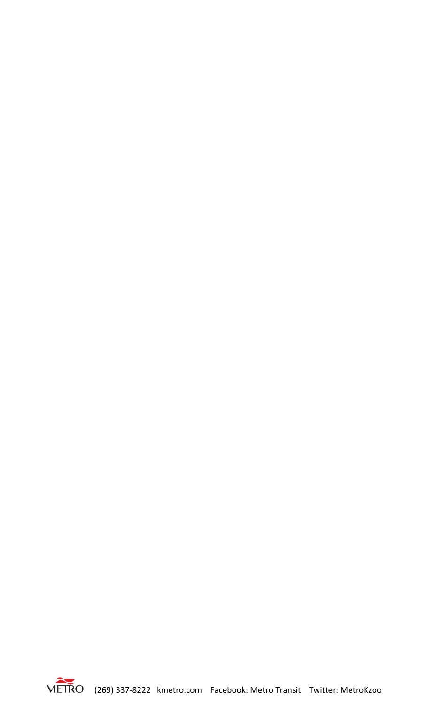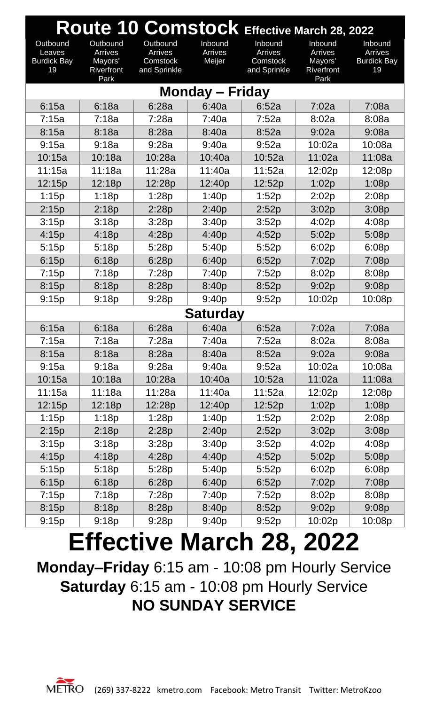|                                                |                                                      | Route 10 Comstock Effective March 28, 2022      |                              |                                                       |                                                            |                                                |
|------------------------------------------------|------------------------------------------------------|-------------------------------------------------|------------------------------|-------------------------------------------------------|------------------------------------------------------------|------------------------------------------------|
| Outbound<br>Leaves<br><b>Burdick Bay</b><br>19 | Outbound<br>Arrives<br>Mayors'<br>Riverfront<br>Park | Outbound<br>Arrives<br>Comstock<br>and Sprinkle | Inbound<br>Arrives<br>Meijer | Inbound<br><b>Arrives</b><br>Comstock<br>and Sprinkle | Inbound<br><b>Arrives</b><br>Mayors'<br>Riverfront<br>Park | Inbound<br>Arrives<br><b>Burdick Bay</b><br>19 |
|                                                |                                                      |                                                 | <b>Monday - Friday</b>       |                                                       |                                                            |                                                |
| 6:15a                                          | 6:18a                                                | 6:28a                                           | 6:40a                        | 6:52a                                                 | 7:02a                                                      | 7:08a                                          |
| 7:15a                                          | 7:18a                                                | 7:28a                                           | 7:40a                        | 7:52a                                                 | 8:02a                                                      | 8:08a                                          |
| 8:15a                                          | 8:18a                                                | 8:28a                                           | 8:40a                        | 8:52a                                                 | 9:02a                                                      | 9:08a                                          |
| 9:15a                                          | 9:18a                                                | 9:28a                                           | 9:40a                        | 9:52a                                                 | 10:02a                                                     | 10:08a                                         |
| 10:15a                                         | 10:18a                                               | 10:28a                                          | 10:40a                       | 10:52a                                                | 11:02a                                                     | 11:08a                                         |
| 11:15a                                         | 11:18a                                               | 11:28a                                          | 11:40a                       | 11:52a                                                | 12:02p                                                     | 12:08p                                         |
| 12:15p                                         | 12:18p                                               | 12:28p                                          | 12:40p                       | 12:52p                                                | 1:02p                                                      | 1:08p                                          |
| 1:15p                                          | 1:18p                                                | 1:28p                                           | 1:40p                        | 1:52p                                                 | 2:02p                                                      | 2:08p                                          |
| 2:15p                                          | 2:18p                                                | 2:28p                                           | 2:40p                        | 2:52p                                                 | 3:02p                                                      | 3:08p                                          |
| 3:15p                                          | 3:18p                                                | 3:28p                                           | 3:40p                        | 3:52p                                                 | 4:02p                                                      | 4:08p                                          |
| 4:15p                                          | 4:18p                                                | 4:28p                                           | 4:40p                        | 4:52p                                                 | 5:02p                                                      | 5:08p                                          |
| 5:15p                                          | 5:18p                                                | 5:28p                                           | 5:40p                        | 5:52p                                                 | 6:02p                                                      | 6:08p                                          |
| 6:15p                                          | 6:18p                                                | 6:28p                                           | 6:40p                        | 6:52p                                                 | 7:02p                                                      | 7:08p                                          |
| 7:15p                                          | 7:18p                                                | 7:28p                                           | 7:40p                        | 7:52p                                                 | 8:02p                                                      | 8:08p                                          |
| 8:15p                                          | 8:18p                                                | 8:28p                                           | 8:40p                        | 8:52p                                                 | 9:02p                                                      | 9:08p                                          |
| 9:15p                                          | 9:18p                                                | 9:28p                                           | 9:40p                        | 9:52p                                                 | 10:02p                                                     | 10:08p                                         |
|                                                |                                                      |                                                 | Saturday                     |                                                       |                                                            |                                                |
| 6:15a                                          | 6:18a                                                | 6:28a                                           | 6:40a                        | 6:52a                                                 | 7:02a                                                      | 7:08a                                          |
| 7:15a                                          | 7:18a                                                | 7:28a                                           | 7:40a                        | 7:52a                                                 | 8:02a                                                      | 8:08a                                          |
| 8:15a                                          | 8:18a                                                | 8:28a                                           | 8:40a                        | 8:52a                                                 | 9:02a                                                      | 9:08a                                          |
| 9:15a                                          | 9:18a                                                | 9:28a                                           | 9:40a                        | 9:52a                                                 | 10:02a                                                     | 10:08a                                         |
| 10:15a                                         | 10:18a                                               | 10:28a                                          | 10:40a                       | 10:52a                                                | 11:02a                                                     | 11:08a                                         |
| 11:15a                                         | 11:18a                                               | 11:28a                                          | 11:40a                       | 11:52a                                                | 12:02p                                                     | 12:08p                                         |
| 12:15p                                         | 12:18p                                               | 12:28p                                          | 12:40p                       | 12:52p                                                | 1:02p                                                      | 1:08p                                          |
| 1:15p                                          | 1:18p                                                | 1:28p                                           | 1:40p                        | 1:52p                                                 | 2:02p                                                      | 2:08p                                          |
| 2:15p                                          | 2:18p                                                | 2:28p                                           | 2:40p                        | 2:52p                                                 | 3:02p                                                      | 3:08p                                          |
| 3:15p                                          | 3:18p                                                | 3:28p                                           | 3:40p                        | 3:52p                                                 | 4:02p                                                      | 4:08p                                          |
| 4:15p                                          | 4:18p                                                | 4:28p                                           | 4:40p                        | 4:52p                                                 | 5:02p                                                      | 5:08p                                          |
| 5:15p                                          | 5:18p                                                | 5:28p                                           | 5:40p                        | 5:52p                                                 | 6:02p                                                      | 6:08p                                          |
| 6:15p                                          | 6:18p                                                | 6:28p                                           | 6:40p                        | 6:52p                                                 | 7:02p                                                      | 7:08p                                          |
| 7:15p                                          | 7:18p                                                | 7:28p                                           | 7:40p                        | 7:52p                                                 | 8:02p                                                      | 8:08p                                          |
| 8:15p                                          | 8:18p                                                | 8:28p                                           | 8:40p                        | 8:52p                                                 | 9:02p                                                      | 9:08p                                          |
| 9:15p                                          | 9:18p                                                | 9:28p                                           | 9:40p                        | 9:52p                                                 | 10:02p                                                     | 10:08p                                         |

**Monday–Friday** 6:15 am - 10:08 pm Hourly Service **Saturday** 6:15 am - 10:08 pm Hourly Service **NO SUNDAY SERVICE**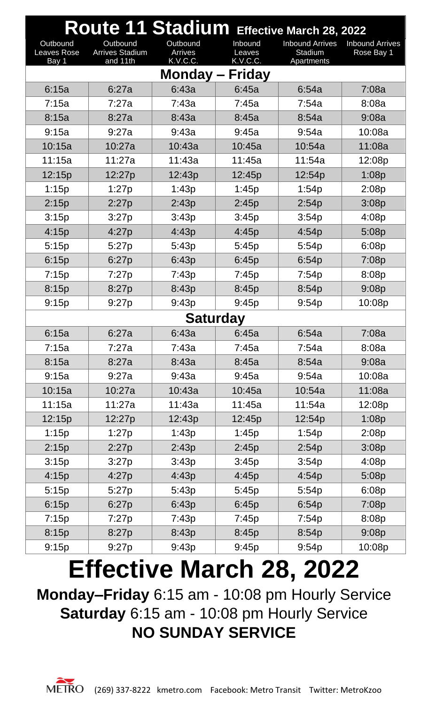|                      | Route 11 Stadium Effective March 28, 2022 |                            |                    |                        |                        |  |  |  |
|----------------------|-------------------------------------------|----------------------------|--------------------|------------------------|------------------------|--|--|--|
| Outbound             | Outbound                                  | Outbound                   | Inbound            | <b>Inbound Arrives</b> | <b>Inbound Arrives</b> |  |  |  |
| Leaves Rose<br>Bay 1 | <b>Arrives Stadium</b><br>and 11th        | <b>Arrives</b><br>K.V.C.C. | Leaves<br>K.V.C.C. | Stadium<br>Apartments  | Rose Bay 1             |  |  |  |
|                      |                                           | Monday-                    | <b>Friday</b>      |                        |                        |  |  |  |
| 6:15a                | 6:27a                                     | 6:43a                      | 6:45a              | 6:54a                  | 7:08a                  |  |  |  |
| 7:15a                | 7:27a                                     | 7:43a                      | 7:45a              | 7:54a                  | 8:08a                  |  |  |  |
| 8:15a                | 8:27a                                     | 8:43a                      | 8:45a              | 8:54a                  | 9:08a                  |  |  |  |
| 9:15a                | 9:27a                                     | 9:43a                      | 9:45a              | 9:54a                  | 10:08a                 |  |  |  |
| 10:15a               | 10:27a                                    | 10:43a                     | 10:45a             | 10:54a                 | 11:08a                 |  |  |  |
| 11:15a               | 11:27a                                    | 11:43a                     | 11:45a             | 11:54a                 | 12:08p                 |  |  |  |
| 12:15p               | 12:27p                                    | 12:43p                     | 12:45p             | 12:54p                 | 1:08p                  |  |  |  |
| 1:15p                | 1:27p                                     | 1:43p                      | 1:45p              | 1:54p                  | 2:08p                  |  |  |  |
| 2:15p                | 2:27p                                     | 2:43p                      | 2:45p              | 2:54p                  | 3:08p                  |  |  |  |
| 3:15p                | 3:27p                                     | 3:43p                      | 3:45p              | 3:54p                  | 4:08p                  |  |  |  |
| 4:15p                | 4:27p                                     | 4:43p                      | 4:45p              | 4:54p                  | 5:08p                  |  |  |  |
| 5:15p                | 5:27p                                     | 5:43p                      | 5:45p              | 5:54p                  | 6:08p                  |  |  |  |
| 6:15p                | 6:27p                                     | 6:43p                      | 6:45p              | 6:54p                  | 7:08p                  |  |  |  |
| 7:15p                | 7:27p                                     | 7:43p                      | 7:45p              | 7:54p                  | 8:08p                  |  |  |  |
| 8:15p                | 8:27p                                     | 8:43p                      | 8:45p              | 8:54p                  | 9:08p                  |  |  |  |
| 9:15p                | 9:27p                                     | 9:43p                      | 9:45p              | 9:54p                  | 10:08p                 |  |  |  |
|                      |                                           | <b>Saturday</b>            |                    |                        |                        |  |  |  |
| 6:15a                | 6:27a                                     | 6:43a                      | 6:45a              | 6:54a                  | 7:08a                  |  |  |  |
| 7:15a                | 7:27a                                     | 7:43a                      | 7:45a              | 7:54a                  | 8:08a                  |  |  |  |
| 8:15a                | 8:27a                                     | 8:43a                      | 8:45a              | 8:54a                  | 9:08a                  |  |  |  |
| 9:15a                | 9:27a                                     | 9:43a                      | 9:45a              | 9:54a                  | 10:08a                 |  |  |  |
| 10:15a               | 10:27a                                    | 10:43a                     | 10:45a             | 10:54a                 | 11:08a                 |  |  |  |
| 11:15a               | 11:27a                                    | 11:43a                     | 11:45a             | 11:54a                 | 12:08p                 |  |  |  |
| 12:15p               | 12:27p                                    | 12:43p                     | 12:45p             | 12:54p                 | 1:08p                  |  |  |  |
| 1:15p                | 1:27p                                     | 1:43p                      | 1:45p              | 1:54p                  | 2:08p                  |  |  |  |
| 2:15p                | 2:27p                                     | 2:43p                      | 2:45p              | 2:54p                  | 3:08p                  |  |  |  |
| 3:15p                | 3:27p                                     | 3:43p                      | 3:45p              | 3:54p                  | 4:08p                  |  |  |  |
| 4:15p                | 4:27p                                     | 4:43p                      | 4:45p              | 4:54p                  | 5:08p                  |  |  |  |
| 5:15p                | 5:27p                                     | 5:43p                      | 5:45p              | 5:54p                  | 6:08p                  |  |  |  |
| 6:15p                | 6:27p                                     | 6:43p                      | 6:45p              | 6:54p                  | 7:08p                  |  |  |  |
| 7:15p                | 7:27p                                     | 7:43p                      | 7:45p              | 7:54p                  | 8:08p                  |  |  |  |
| 8:15p                | 8:27p                                     | 8:43p                      | 8:45p              | 8:54p                  | 9:08p                  |  |  |  |
| 9:15p                | 9:27p                                     | 9:43p                      | 9:45p              | 9:54p                  | 10:08p                 |  |  |  |

**Monday–Friday** 6:15 am - 10:08 pm Hourly Service **Saturday** 6:15 am - 10:08 pm Hourly Service **NO SUNDAY SERVICE**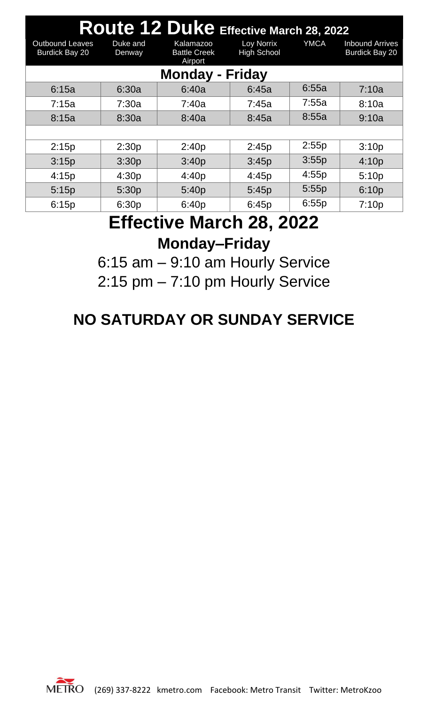| Route 12 Duke Effective March 28, 2022          |                    |                                             |                                  |             |                                          |  |  |  |
|-------------------------------------------------|--------------------|---------------------------------------------|----------------------------------|-------------|------------------------------------------|--|--|--|
| <b>Outbound Leaves</b><br><b>Burdick Bay 20</b> | Duke and<br>Denway | Kalamazoo<br><b>Battle Creek</b><br>Airport | Loy Norrix<br><b>High School</b> | <b>YMCA</b> | <b>Inbound Arrives</b><br>Burdick Bay 20 |  |  |  |
|                                                 |                    | <b>Monday - Friday</b>                      |                                  |             |                                          |  |  |  |
| 6:15a                                           | 6:30a              | 6:40a                                       | 6:45a                            | 6:55a       | 7:10a                                    |  |  |  |
| 7:15a                                           | 7:30a              | 7:40a                                       | 7:45a                            | 7:55a       | 8:10a                                    |  |  |  |
| 8:15a                                           | 8:30a              | 8:40a                                       | 8:45a                            | 8:55a       | 9:10a                                    |  |  |  |
|                                                 |                    |                                             |                                  |             |                                          |  |  |  |
| 2:15p                                           | 2:30p              | 2:40p                                       | 2:45p                            | 2:55p       | 3:10p                                    |  |  |  |
| 3:15p                                           | 3:30p              | 3:40p                                       | 3:45p                            | 3:55p       | 4:10p                                    |  |  |  |
| 4:15p                                           | 4:30p              | 4:40p                                       | 4:45p                            | 4:55p       | 5:10p                                    |  |  |  |
| 5:15p                                           | 5:30p              | 5:40p                                       | 5:45p                            | 5:55p       | 6:10p                                    |  |  |  |
| 6:15p                                           | 6:30p              | 6:40p                                       | 6:45p                            | 6:55p       | 7:10p                                    |  |  |  |

#### **Monday–Friday**

6:15 am – 9:10 am Hourly Service 2:15 pm – 7:10 pm Hourly Service

#### **NO SATURDAY OR SUNDAY SERVICE**

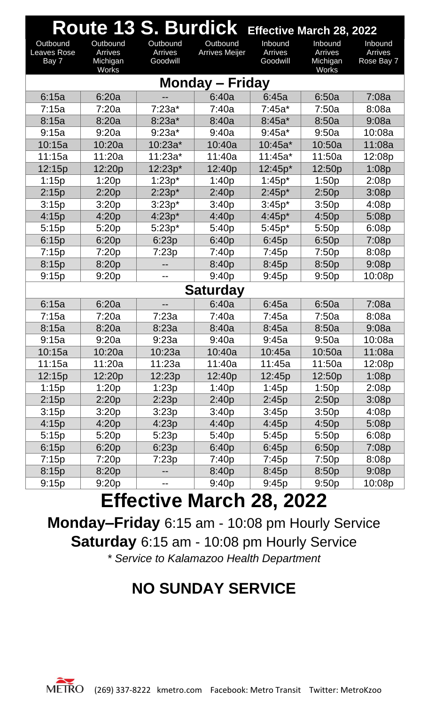|             | Route 13 S. Burdick Effective March 28, 2022 |           |                       |           |                   |            |  |  |  |
|-------------|----------------------------------------------|-----------|-----------------------|-----------|-------------------|------------|--|--|--|
| Outbound    | Outbound                                     | Outbound  | Outbound              | Inbound   | Inbound           | Inbound    |  |  |  |
| Leaves Rose | <b>Arrives</b>                               | Arrives   | <b>Arrives Meijer</b> | Arrives   | Arrives           | Arrives    |  |  |  |
| Bay 7       | Michigan<br><b>Works</b>                     | Goodwill  |                       | Goodwill  | Michigan<br>Works | Rose Bay 7 |  |  |  |
|             | <b>Monday – Friday</b>                       |           |                       |           |                   |            |  |  |  |
| 6:15a       | 6:20a                                        |           | 6:40a                 | 6:45a     | 6:50a             | 7:08a      |  |  |  |
| 7:15a       | 7:20a                                        | $7:23a*$  | 7:40a                 | $7:45a*$  | 7:50a             | 8:08a      |  |  |  |
| 8:15a       | 8:20a                                        | $8:23a*$  | 8:40a                 | $8:45a*$  | 8:50a             | 9:08a      |  |  |  |
| 9:15a       | 9:20a                                        | $9:23a*$  | 9:40a                 | $9:45a*$  | 9:50a             | 10:08a     |  |  |  |
| 10:15a      | 10:20a                                       | $10:23a*$ | 10:40a                | $10:45a*$ | 10:50a            | 11:08a     |  |  |  |
| 11:15a      | 11:20a                                       | $11:23a*$ | 11:40a                | $11:45a*$ | 11:50a            | 12:08p     |  |  |  |
| 12:15p      | 12:20p                                       | 12:23p*   | 12:40p                | 12:45p*   | 12:50p            | 1:08p      |  |  |  |
| 1:15p       | 1:20p                                        | $1:23p*$  | 1:40p                 | $1:45p*$  | 1:50p             | 2:08p      |  |  |  |
| 2:15p       | 2:20p                                        | $2:23p*$  | 2:40p                 | $2:45p*$  | 2:50p             | 3:08p      |  |  |  |
| 3:15p       | 3:20p                                        | $3:23p*$  | 3:40p                 | $3:45p*$  | 3:50p             | 4:08p      |  |  |  |
| 4:15p       | 4:20p                                        | $4:23p*$  | 4:40p                 | $4:45p*$  | 4:50p             | 5:08p      |  |  |  |
| 5:15p       | 5:20p                                        | $5:23p*$  | 5:40p                 | $5:45p*$  | 5:50p             | 6:08p      |  |  |  |
| 6:15p       | 6:20p                                        | 6:23p     | 6:40p                 | 6:45p     | 6:50p             | 7:08p      |  |  |  |
| 7:15p       | 7:20p                                        | 7:23p     | 7:40p                 | 7:45p     | 7:50p             | 8:08p      |  |  |  |
| 8:15p       | 8:20p                                        |           | 8:40p                 | 8:45p     | 8:50p             | 9:08p      |  |  |  |
| 9:15p       | 9:20p                                        | --        | 9:40p                 | 9:45p     | 9:50p             | 10:08p     |  |  |  |
|             |                                              |           | <b>Saturday</b>       |           |                   |            |  |  |  |
| 6:15a       | 6:20a                                        |           | 6:40a                 | 6:45a     | 6:50a             | 7:08a      |  |  |  |
| 7:15a       | 7:20a                                        | 7:23a     | 7:40a                 | 7:45a     | 7:50a             | 8:08a      |  |  |  |
| 8:15a       | 8:20a                                        | 8:23a     | 8:40a                 | 8:45a     | 8:50a             | 9:08a      |  |  |  |
| 9:15a       | 9:20a                                        | 9:23a     | 9:40a                 | 9:45a     | 9:50a             | 10:08a     |  |  |  |
| 10:15a      | 10:20a                                       | 10:23a    | 10:40a                | 10:45a    | 10:50a            | 11:08a     |  |  |  |
| 11:15a      | 11:20a                                       | 11:23a    | 11:40a                | 11:45a    | 11:50a            | 12:08p     |  |  |  |
| 12:15p      | 12:20p                                       | 12:23p    | 12:40p                | 12:45p    | 12:50p            | 1:08p      |  |  |  |
| 1:15p       | 1:20p                                        | 1:23p     | 1:40p                 | 1:45p     | 1:50p             | 2:08p      |  |  |  |
| 2:15p       | 2:20p                                        | 2:23p     | 2:40p                 | 2:45p     | 2:50p             | 3:08p      |  |  |  |
| 3:15p       | 3:20p                                        | 3:23p     | 3:40p                 | 3:45p     | 3:50p             | 4:08p      |  |  |  |
| 4:15p       | 4:20p                                        | 4:23p     | 4:40p                 | 4:45p     | 4:50p             | 5:08p      |  |  |  |
| 5:15p       | 5:20p                                        | 5:23p     | 5:40p                 | 5:45p     | 5:50p             | 6:08p      |  |  |  |
| 6:15p       | 6:20p                                        | 6:23p     | 6:40p                 | 6:45p     | 6:50p             | 7:08p      |  |  |  |
| 7:15p       | 7:20p                                        | 7:23p     | 7:40p                 | 7:45p     | 7:50p             | 8:08p      |  |  |  |
| 8:15p       | 8:20p                                        |           | 8:40p                 | 8:45p     | 8:50p             | 9:08p      |  |  |  |
| 9:15p       | 9:20p                                        |           | 9:40p                 | 9:45p     | 9:50p             | 10:08p     |  |  |  |

**Monday–Friday** 6:15 am - 10:08 pm Hourly Service **Saturday** 6:15 am - 10:08 pm Hourly Service *\* Service to Kalamazoo Health Department*

#### **NO SUNDAY SERVICE**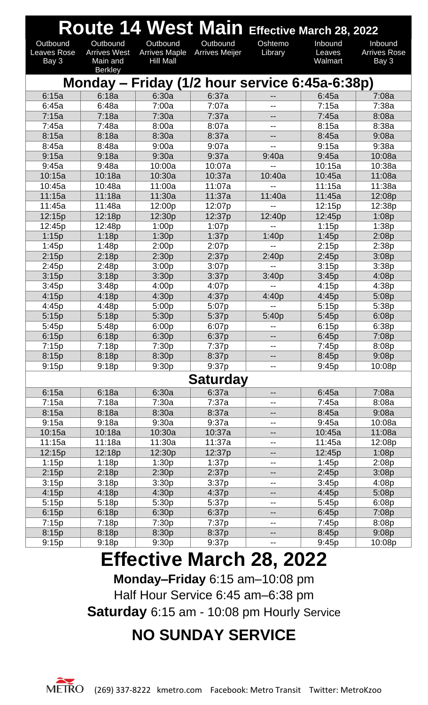|             | Route 14 West Main Effective March 28, 2022 |                                                |                       |         |         |                     |  |
|-------------|---------------------------------------------|------------------------------------------------|-----------------------|---------|---------|---------------------|--|
| Outbound    | Outbound                                    | Outbound                                       | Outbound              | Oshtemo | Inbound | Inbound             |  |
| Leaves Rose | <b>Arrives West</b>                         | <b>Arrives Maple</b>                           | <b>Arrives Meijer</b> | Library | Leaves  | <b>Arrives Rose</b> |  |
| Bay 3       | Main and                                    | <b>Hill Mall</b>                               |                       |         | Walmart | Bay 3               |  |
|             | <b>Berkley</b>                              | Monday - Friday (1/2 hour service 6:45a-6:38p) |                       |         |         |                     |  |
| 6:15a       | 6:18a                                       | 6:30a                                          | 6:37a                 |         | 6:45a   | 7:08a               |  |
| 6:45a       | 6:48a                                       | 7:00a                                          | 7:07a                 |         | 7:15a   | 7:38a               |  |
| 7:15a       | 7:18a                                       | 7:30a                                          | 7:37a                 | --      | 7:45a   | 8:08a               |  |
| 7:45a       | 7:48a                                       | 8:00a                                          | 8:07a                 | --      | 8:15a   | 8:38a               |  |
| 8:15a       | 8:18a                                       | 8:30a                                          | 8:37a                 |         | 8:45a   | 9:08a               |  |
| 8:45a       | 8:48a                                       | 9:00a                                          | 9:07a                 |         | 9:15a   | 9:38a               |  |
| 9:15a       | 9:18a                                       | 9:30a                                          | 9:37a                 | 9:40a   | 9:45a   | 10:08a              |  |
| 9:45a       | 9:48a                                       | 10:00a                                         | 10:07a                |         | 10:15a  | 10:38a              |  |
| 10:15a      | 10:18a                                      | 10:30a                                         | 10:37a                | 10:40a  | 10:45a  | 11:08a              |  |
| 10:45a      | 10:48a                                      | 11:00a                                         | 11:07a                |         | 11:15a  | 11:38a              |  |
| 11:15a      | 11:18a                                      | 11:30a                                         | 11:37a                | 11:40a  | 11:45a  | 12:08p              |  |
| 11:45a      | 11:48a                                      | 12:00p                                         | 12:07p                |         | 12:15p  | 12:38p              |  |
| 12:15p      | 12:18p                                      | 12:30p                                         | 12:37p                | 12:40p  | 12:45p  | 1:08p               |  |
| 12:45p      | 12:48p                                      | 1:00p                                          | 1:07p                 |         | 1:15p   | 1:38p               |  |
| 1:15p       | 1:18p                                       | 1:30p                                          | 1:37p                 | 1:40p   | 1:45p   | 2:08p               |  |
| 1:45p       | 1:48p                                       | 2:00p                                          | 2:07p                 |         | 2:15p   | 2:38p               |  |
| 2:15p       | 2:18p                                       | 2:30p                                          | 2:37p                 | 2:40p   | 2:45p   | 3:08p               |  |
| 2:45p       | 2:48p                                       | 3:00p                                          | 3:07p                 | $-$     | 3:15p   | 3:38p               |  |
| 3:15p       | 3:18p                                       | 3:30p                                          | 3:37p                 | 3:40p   | 3:45p   | 4:08p               |  |
| 3:45p       | 3:48p                                       | 4:00p                                          | 4:07p                 |         | 4:15p   | 4:38p               |  |
| 4:15p       | 4:18p                                       | 4:30p                                          | 4:37p                 | 4:40p   | 4:45p   | 5:08p               |  |
| 4:45p       | 4:48p                                       | 5:00p                                          | 5:07p                 |         | 5:15p   | 5:38p               |  |
| 5:15p       | 5:18p                                       | 5:30p                                          | 5:37p                 | 5:40p   | 5:45p   | 6:08p               |  |
| 5:45p       | 5:48p                                       | 6:00p                                          | 6:07p                 |         | 6:15p   | 6:38p               |  |
| 6:15p       | 6:18p                                       | 6:30p                                          | 6:37p                 | --      | 6:45p   | 7:08p               |  |
| 7:15p       | 7:18p                                       | 7:30p                                          | 7:37p                 | --      | 7:45p   | 8:08p               |  |
| 8:15p       | 8:18p                                       | 8:30p                                          | 8:37p                 | --      | 8:45p   | 9:08p               |  |
| 9:15p       | 9:18p                                       | 9:30p                                          | 9:37p                 | --      | 9:45p   | 10:08p              |  |
|             |                                             |                                                | <b>Saturday</b>       |         |         |                     |  |
| 6:15a       | 6:18a                                       | 6:30a                                          | 6:37a                 | --      | 6:45a   | 7:08a               |  |
| 7:15a       | 7:18a                                       | 7:30a                                          | 7:37a                 | --      | 7:45a   | 8:08a               |  |
| 8:15a       | 8:18a                                       | 8:30a                                          | 8:37a                 | --      | 8:45a   | 9:08a               |  |
| 9:15a       | 9:18a                                       | 9:30a                                          | 9:37a                 | --      | 9:45a   | 10:08a              |  |
| 10:15a      | 10:18a                                      | 10:30a                                         | 10:37a                | --      | 10:45a  | 11:08a              |  |
| 11:15a      | 11:18a                                      | 11:30a                                         | 11:37a                | --      | 11:45a  | 12:08p              |  |
| 12:15p      | 12:18p                                      | 12:30p                                         | 12:37p                | --      | 12:45p  | 1:08p               |  |
| 1:15p       | 1:18p                                       | 1:30p                                          | 1:37p                 | --      | 1:45p   | 2:08p               |  |
| 2:15p       | 2:18p                                       | 2:30p                                          | 2:37p                 | --      | 2:45p   | 3:08p               |  |
| 3:15p       | 3:18p                                       | 3:30p                                          | 3:37p                 | --      | 3:45p   | 4:08p               |  |
| 4:15p       | 4:18p                                       | 4:30p                                          | 4:37p                 | --      | 4:45p   | 5:08p               |  |
| 5:15p       | 5:18p                                       | 5:30p                                          | 5:37p                 | --      | 5:45p   | 6:08p               |  |
| 6:15p       | 6:18p                                       | 6:30p                                          | 6:37p                 | --      | 6:45p   | 7:08p               |  |
| 7:15p       | 7:18p                                       | 7:30p                                          | 7:37p                 | --      | 7:45p   | 8:08p               |  |
| 8:15p       | 8:18p                                       | 8:30p                                          | 8:37p                 | --      | 8:45p   | 9:08p               |  |
| 9:15p       | 9:18p                                       | 9:30p                                          | 9:37p                 | --      | 9:45p   | 10:08p              |  |

**Monday–Friday** 6:15 am–10:08 pm Half Hour Service 6:45 am–6:38 pm **Saturday** 6:15 am - 10:08 pm Hourly Service

#### **NO SUNDAY SERVICE**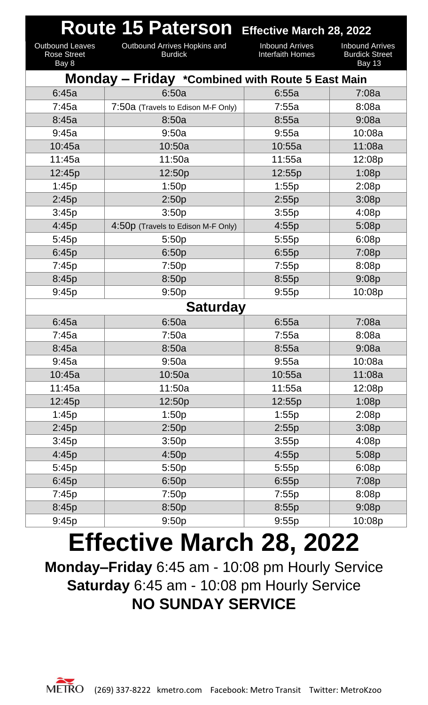### **Route 15 Paterson Effective March 28, 2022**

Outbound Leaves Rose Street Bay 8

Outbound Arrives Hopkins and Burdick

Inbound Arrives Interfaith Homes Inbound Arrives Burdick Street Bay 13

|        | Monday - Friday *Combined with Route 5 East Main |        |        |
|--------|--------------------------------------------------|--------|--------|
| 6:45a  | 6:50a                                            | 6:55a  | 7:08a  |
| 7:45a  | 7:50a (Travels to Edison M-F Only)               | 7:55a  | 8:08a  |
| 8:45a  | 8:50a                                            | 8:55a  | 9:08a  |
| 9:45a  | 9:50a                                            | 9:55a  | 10:08a |
| 10:45a | 10:50a                                           | 10:55a | 11:08a |
| 11:45a | 11:50a                                           | 11:55a | 12:08p |
| 12:45p | 12:50p                                           | 12:55p | 1:08p  |
| 1:45p  | 1:50p                                            | 1:55p  | 2:08p  |
| 2:45p  | 2:50p                                            | 2:55p  | 3:08p  |
| 3:45p  | 3:50p                                            | 3:55p  | 4:08p  |
| 4:45p  | 4:50p (Travels to Edison M-F Only)               | 4:55p  | 5:08p  |
| 5:45p  | 5:50p                                            | 5:55p  | 6:08p  |
| 6:45p  | 6:50p                                            | 6:55p  | 7:08p  |
| 7:45p  | 7:50p                                            | 7:55p  | 8:08p  |
| 8:45p  | 8:50p                                            | 8:55p  | 9:08p  |
| 9:45p  | 9:50p                                            | 9:55p  | 10:08p |
|        | <b>Saturday</b>                                  |        |        |
| 6:45a  | 6:50a                                            | 6:55a  | 7:08a  |
| 7:45a  | 7:50a                                            | 7:55a  | 8:08a  |
| 8:45a  | 8:50a                                            | 8:55a  | 9:08a  |
| 9:45a  | 9:50a                                            | 9:55a  | 10:08a |
| 10:45a | 10:50a                                           | 10:55a | 11:08a |
| 11:45a | 11:50a                                           | 11:55a | 12:08p |
| 12:45p | 12:50p                                           | 12:55p | 1:08p  |
| 1:45p  | 1:50p                                            | 1:55p  | 2:08p  |
| 2:45p  | 2:50p                                            | 2:55p  | 3:08p  |
| 3:45p  | 3:50p                                            | 3:55p  | 4:08p  |
| 4:45p  | 4:50p                                            | 4:55p  | 5:08p  |
| 5:45p  | 5:50p                                            | 5:55p  | 6:08p  |
| 6:45p  | 6:50p                                            | 6:55p  | 7:08p  |
| 7:45p  | 7:50p                                            | 7:55p  | 8:08p  |
| 8:45p  | 8:50p                                            | 8:55p  | 9:08p  |
| 9:45p  | 9:50p                                            | 9:55p  | 10:08p |

**Effective March 28, 2022**

**Monday–Friday** 6:45 am - 10:08 pm Hourly Service **Saturday** 6:45 am - 10:08 pm Hourly Service **NO SUNDAY SERVICE**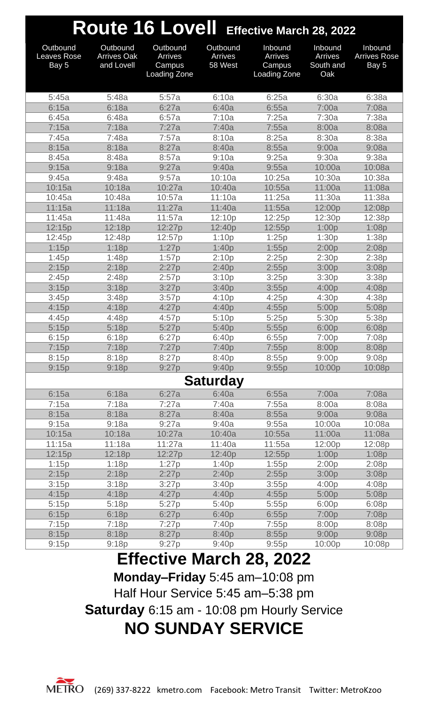| Route 16 Lovell Effective March 28, 2022 |                                              |                                               |                                       |                                              |                                        |                                                      |  |  |
|------------------------------------------|----------------------------------------------|-----------------------------------------------|---------------------------------------|----------------------------------------------|----------------------------------------|------------------------------------------------------|--|--|
| Outbound<br>Leaves Rose<br>Bay 5         | Outbound<br><b>Arrives Oak</b><br>and Lovell | Outbound<br>Arrives<br>Campus<br>Loading Zone | Outbound<br><b>Arrives</b><br>58 West | Inbound<br>Arrives<br>Campus<br>Loading Zone | Inbound<br>Arrives<br>South and<br>Oak | Inbound<br><b>Arrives Rose</b><br>Bay $\overline{5}$ |  |  |
| 5:45a                                    | 5:48a                                        | 5:57a                                         | 6:10a                                 | 6:25a                                        | 6:30a                                  | 6:38a                                                |  |  |
| 6:15a                                    | 6:18a                                        | 6:27a                                         | 6:40a                                 | 6:55a                                        | 7:00a                                  | 7:08a                                                |  |  |
| 6:45a                                    | 6:48a                                        | 6:57a                                         | 7:10a                                 | 7:25a                                        | 7:30a                                  | 7:38a                                                |  |  |
| 7:15a                                    | 7:18a                                        | 7:27a                                         | 7:40a                                 | 7:55a                                        | 8:00a                                  | 8:08a                                                |  |  |
| 7:45a                                    | 7:48a                                        | 7:57a                                         | 8:10a                                 | 8:25a                                        | 8:30a                                  | 8:38a                                                |  |  |
| 8:15a                                    | 8:18a                                        | 8:27a                                         | 8:40a                                 | 8:55a                                        | 9:00a                                  | 9:08a                                                |  |  |
| 8:45a                                    | 8:48a                                        | 8:57a                                         | 9:10a                                 | 9:25a                                        | 9:30a                                  | 9:38a                                                |  |  |
| 9:15a                                    | 9:18a                                        | 9:27a                                         | 9:40a                                 | 9:55a                                        | 10:00a                                 | 10:08a                                               |  |  |
| 9:45a                                    | 9:48a                                        | 9:57a                                         | 10:10a                                | 10:25a                                       | 10:30a                                 | 10:38a                                               |  |  |
| 10:15a                                   | 10:18a                                       | 10:27a                                        | 10:40a                                | 10:55a                                       | 11:00a                                 | 11:08a                                               |  |  |
| 10:45a                                   | 10:48a                                       | 10:57a                                        | 11:10a                                | 11:25a                                       | 11:30a                                 | 11:38a                                               |  |  |
| 11:15a                                   | 11:18a                                       | 11:27a                                        | 11:40a                                | 11:55a                                       | 12:00p                                 | 12:08p                                               |  |  |
| 11:45a                                   | 11:48a                                       | 11:57a                                        | 12:10p                                | 12:25p                                       | 12:30p                                 | 12:38p                                               |  |  |
| 12:15p                                   | 12:18p                                       | 12:27p                                        | 12:40p                                | 12:55p                                       | 1:00p                                  | 1:08p                                                |  |  |
| 12:45p                                   | 12:48p                                       | 12:57p                                        | 1:10p                                 | 1:25p                                        | 1:30p                                  | 1:38p                                                |  |  |
| 1:15p                                    | 1:18p                                        | 1:27p                                         | 1:40p                                 | 1:55p                                        | 2:00p                                  | 2:08p                                                |  |  |
| 1:45p                                    | 1:48p                                        | 1:57p                                         | 2:10p                                 | 2:25p                                        | 2:30p                                  | 2:38p                                                |  |  |
| 2:15p                                    | 2:18p                                        | 2:27p                                         | 2:40p                                 | 2:55p                                        | 3:00p                                  | 3:08p                                                |  |  |
| 2:45p                                    | 2:48p                                        | 2:57p                                         | 3:10p                                 | 3:25p                                        | 3:30p                                  | 3:38p                                                |  |  |
| 3:15p                                    | 3:18p                                        | 3:27p                                         | 3:40p                                 | 3:55p                                        | 4:00p                                  | 4:08p                                                |  |  |
| 3:45p                                    | 3:48p                                        | 3:57p                                         | 4:10p                                 | 4:25p                                        | 4:30p                                  | 4:38p                                                |  |  |
| 4:15p                                    | 4:18p                                        | 4:27p                                         | 4:40p                                 | 4:55p                                        | 5:00p                                  | 5:08p                                                |  |  |
| 4:45p                                    | 4:48p                                        | 4:57p                                         | 5:10p                                 | 5:25p                                        | 5:30p                                  | 5:38p                                                |  |  |
| 5:15p                                    | 5:18p                                        | 5:27p                                         | 5:40p                                 | 5:55p                                        | 6:00p                                  | 6:08p                                                |  |  |
| 6:15p                                    | 6:18p                                        | 6:27p                                         | 6:40p                                 | 6:55p                                        | 7:00p                                  | 7:08p                                                |  |  |
| 7:15p                                    | 7:18p                                        | 7:27p                                         | 7:40p                                 | 7:55p                                        | 8:00p                                  | 8:08p                                                |  |  |
| 8:15p                                    | 8:18p                                        | 8:27p                                         | 8:40p                                 | 8:55p                                        | 9:00p                                  | 9:08p                                                |  |  |
| 9:15p                                    | 9:18p                                        | 9:27p                                         | 9:40p                                 | 9:55p                                        | 10:00p                                 | 10:08p                                               |  |  |
|                                          |                                              |                                               | <b>Saturday</b>                       |                                              |                                        |                                                      |  |  |
| 6:15a                                    | 6:18a                                        | 6:27a                                         | 6:40a                                 | 6:55a                                        | 7:00a                                  | 7:08a                                                |  |  |
| 7:15a                                    | 7:18a                                        | 7:27a                                         | 7:40a                                 | 7:55a                                        | 8:00a                                  | 8:08a                                                |  |  |
| 8:15a                                    | 8:18a                                        | 8:27a                                         | 8:40a                                 | 8:55a                                        | 9:00a                                  | 9:08a                                                |  |  |
| 9:15a                                    | 9:18a                                        | 9:27a                                         | 9:40a                                 | 9:55a                                        | 10:00a                                 | 10:08a                                               |  |  |
| 10:15a                                   | 10:18a                                       | 10:27a                                        | 10:40a                                | 10:55a                                       | 11:00a                                 | 11:08a                                               |  |  |
| 11:15a                                   | 11:18a                                       | 11:27a                                        | 11:40a                                | 11:55a                                       | 12:00p                                 | 12:08p                                               |  |  |
| 12:15p                                   | 12:18p                                       | 12:27p                                        | 12:40p                                | 12:55p                                       | 1:00p                                  | 1:08p                                                |  |  |
| 1:15p                                    | 1:18p                                        | 1:27p                                         | 1:40p                                 | 1:55p                                        | 2:00p                                  | 2:08p                                                |  |  |
| 2:15p                                    | 2:18p                                        | 2:27p                                         | 2:40p                                 | 2:55p                                        | 3:00p                                  | 3:08p                                                |  |  |
| 3:15p                                    | 3:18p                                        | 3:27p                                         | 3:40p                                 | 3:55p                                        | 4:00p                                  | 4:08p                                                |  |  |
| 4:15p                                    | 4:18p                                        | 4:27p                                         | 4:40p                                 | 4:55p                                        | 5:00p                                  | 5:08p                                                |  |  |
| 5:15p                                    | 5:18p                                        | 5:27p                                         | 5:40p                                 | 5:55p                                        | 6:00p                                  | 6:08p                                                |  |  |
| 6:15p                                    | 6:18p                                        | 6:27p                                         | 6:40p<br>7:40p                        | 6:55p                                        | 7:00p                                  | 7:08p                                                |  |  |
| 7:15p                                    | 7:18p                                        | 7:27p                                         | 8:40p                                 | 7:55p                                        | 8:00p<br>9:00p                         | 8:08p                                                |  |  |
| 8:15p                                    | 8:18p                                        | 8:27p                                         |                                       | 8:55p                                        |                                        | 9:08p                                                |  |  |
| 9:15p                                    | 9:18p                                        | 9:27p                                         | 9:40p                                 | 9:55p                                        | 10:00p                                 | 10:08p                                               |  |  |

**Effective March 28, 2022 Monday–Friday** 5:45 am–10:08 pm Half Hour Service 5:45 am–5:38 pm **Saturday** 6:15 am - 10:08 pm Hourly Service **NO SUNDAY SERVICE**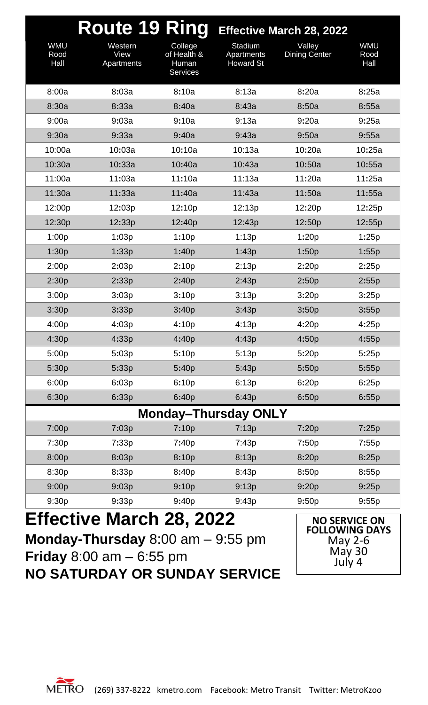|                            | <b>Route 19 Ring</b>          |                                                           |                                           | <b>Effective March 28, 2022</b> |                            |
|----------------------------|-------------------------------|-----------------------------------------------------------|-------------------------------------------|---------------------------------|----------------------------|
| <b>WMU</b><br>Rood<br>Hall | Western<br>View<br>Apartments | College<br>of Health &<br><b>Human</b><br><b>Services</b> | Stadium<br>Apartments<br><b>Howard St</b> | Valley<br><b>Dining Center</b>  | <b>WMU</b><br>Rood<br>Hall |
| 8:00a                      | 8:03a                         | 8:10a                                                     | 8:13a                                     | 8:20a                           | 8:25a                      |
| 8:30a                      | 8:33a                         | 8:40a                                                     | 8:43a                                     | 8:50a                           | 8:55a                      |
| 9:00a                      | 9:03a                         | 9:10a                                                     | 9:13a                                     | 9:20a                           | 9:25a                      |
| 9:30a                      | 9:33a                         | 9:40a                                                     | 9:43a                                     | 9:50a                           | 9:55a                      |
| 10:00a                     | 10:03a                        | 10:10a                                                    | 10:13a                                    | 10:20a                          | 10:25a                     |
| 10:30a                     | 10:33a                        | 10:40a                                                    | 10:43a                                    | 10:50a                          | 10:55a                     |
| 11:00a                     | 11:03a                        | 11:10a                                                    | 11:13a                                    | 11:20a                          | 11:25a                     |
| 11:30a                     | 11:33a                        | 11:40a                                                    | 11:43a                                    | 11:50a                          | 11:55a                     |
| 12:00p                     | 12:03p                        | 12:10p                                                    | 12:13p                                    | 12:20p                          | 12:25p                     |
| 12:30p                     | 12:33p                        | 12:40p                                                    | 12:43p                                    | 12:50p                          | 12:55p                     |
| 1:00p                      | 1:03p                         | 1:10p                                                     | 1:13p                                     | 1:20p                           | 1:25p                      |
| 1:30p                      | 1:33p                         | 1:40p                                                     | 1:43p                                     | 1:50p                           | 1:55p                      |
| 2:00p                      | 2:03p                         | 2:10p                                                     | 2:13p                                     | 2:20p                           | 2:25p                      |
| 2:30p                      | 2:33p                         | 2:40p                                                     | 2:43p                                     | 2:50p                           | 2:55p                      |
| 3:00p                      | 3:03p                         | 3:10p                                                     | 3:13p                                     | 3:20p                           | 3:25p                      |
| 3:30p                      | 3:33p                         | 3:40p                                                     | 3:43p                                     | 3:50p                           | 3:55p                      |
| 4:00p                      | 4:03p                         | 4:10p                                                     | 4:13p                                     | 4:20p                           | 4:25p                      |
| 4:30p                      | 4:33p                         | 4:40p                                                     | 4:43p                                     | 4:50p                           | 4:55p                      |
| 5:00p                      | 5:03p                         | 5:10p                                                     | 5:13p                                     | 5:20p                           | 5:25p                      |
| 5:30p                      | 5:33p                         | 5:40p                                                     | 5:43p                                     | 5:50p                           | 5:55p                      |
| 6:00p                      | 6:03p                         | 6:10p                                                     | 6:13p                                     | 6:20p                           | 6:25p                      |
| 6:30p                      | 6:33p                         | 6:40p                                                     | 6:43p                                     | 6:50p                           | 6:55p                      |
|                            |                               |                                                           | <b>Monday-Thursday ONLY</b>               |                                 |                            |
| 7:00p                      | 7:03p                         | 7:10p                                                     | 7:13p                                     | 7:20p                           | 7:25p                      |
| 7:30p                      | 7:33p                         | 7:40p                                                     | 7:43p                                     | 7:50p                           | 7:55p                      |
| 8:00p                      | 8:03p                         | 8:10p                                                     | 8:13p                                     | 8:20p                           | 8:25p                      |
| 8:30p                      | 8:33p                         | 8:40p                                                     | 8:43p                                     | 8:50p                           | 8:55p                      |
| 9:00p                      | 9:03p                         | 9:10p                                                     | 9:13p                                     | 9:20p                           | 9:25p                      |
| 9:30p                      | 9:33p                         | 9:40p                                                     | 9:43p                                     | 9:50p                           | 9:55p                      |

**Effective March 28, 2022 Monday-Thursday** 8:00 am – 9:55 pm **Friday** 8:00 am – 6:55 pm **NO SATURDAY OR SUNDAY SERVICE**

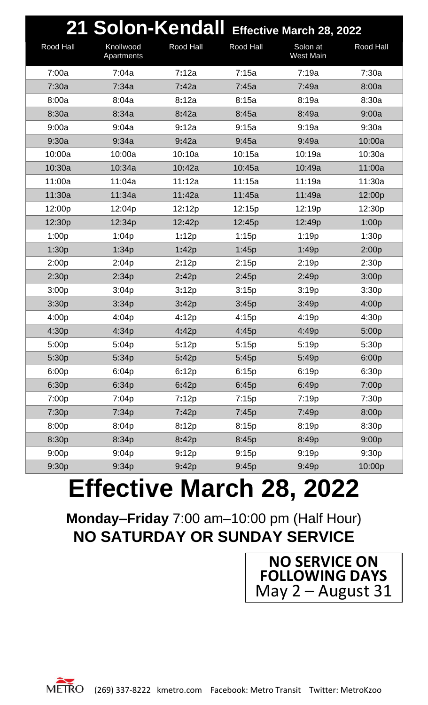|           | 21 Solon-Kendall Effective March 28, 2022 |           |           |                              |           |
|-----------|-------------------------------------------|-----------|-----------|------------------------------|-----------|
| Rood Hall | Knollwood<br>Apartments                   | Rood Hall | Rood Hall | Solon at<br><b>West Main</b> | Rood Hall |
| 7:00a     | 7:04a                                     | 7:12a     | 7:15a     | 7:19a                        | 7:30a     |
| 7:30a     | 7:34a                                     | 7:42a     | 7:45a     | 7:49a                        | 8:00a     |
| 8:00a     | 8:04a                                     | 8:12a     | 8:15a     | 8:19a                        | 8:30a     |
| 8:30a     | 8:34a                                     | 8:42a     | 8:45a     | 8:49a                        | 9:00a     |
| 9:00a     | 9:04a                                     | 9:12a     | 9:15a     | 9:19a                        | 9:30a     |
| 9:30a     | 9:34a                                     | 9:42a     | 9:45a     | 9:49a                        | 10:00a    |
| 10:00a    | 10:00a                                    | 10:10a    | 10:15a    | 10:19a                       | 10:30a    |
| 10:30a    | 10:34a                                    | 10:42a    | 10:45a    | 10:49a                       | 11:00a    |
| 11:00a    | 11:04a                                    | 11:12a    | 11:15a    | 11:19a                       | 11:30a    |
| 11:30a    | 11:34a                                    | 11:42a    | 11:45a    | 11:49a                       | 12:00p    |
| 12:00p    | 12:04p                                    | 12:12p    | 12:15p    | 12:19p                       | 12:30p    |
| 12:30p    | 12:34p                                    | 12:42p    | 12:45p    | 12:49p                       | 1:00p     |
| 1:00p     | 1:04p                                     | 1:12p     | 1:15p     | 1:19p                        | 1:30p     |
| 1:30p     | 1:34p                                     | 1:42p     | 1:45p     | 1:49p                        | 2:00p     |
| 2:00p     | 2:04p                                     | 2:12p     | 2:15p     | 2:19p                        | 2:30p     |
| 2:30p     | 2:34p                                     | 2:42p     | 2:45p     | 2:49p                        | 3:00p     |
| 3:00p     | 3:04p                                     | 3:12p     | 3:15p     | 3:19p                        | 3:30p     |
| 3:30p     | 3:34p                                     | 3:42p     | 3:45p     | 3:49p                        | 4:00p     |
| 4:00p     | 4:04p                                     | 4:12p     | 4:15p     | 4:19p                        | 4:30p     |
| 4:30p     | 4:34p                                     | 4:42p     | 4:45p     | 4:49p                        | 5:00p     |
| 5:00p     | 5:04p                                     | 5:12p     | 5:15p     | 5:19p                        | 5:30p     |
| 5:30p     | 5:34p                                     | 5:42p     | 5:45p     | 5:49p                        | 6:00p     |
| 6:00p     | 6:04p                                     | 6:12p     | 6:15p     | 6:19p                        | 6:30p     |
| 6:30p     | 6:34p                                     | 6:42p     | 6:45p     | 6:49p                        | 7:00p     |
| 7:00p     | 7:04p                                     | 7:12p     | 7:15p     | 7:19p                        | 7:30p     |
| 7:30p     | 7:34p                                     | 7:42p     | 7:45p     | 7:49p                        | 8:00p     |
| 8:00p     | 8:04p                                     | 8:12p     | 8:15p     | 8:19p                        | 8:30p     |
| 8:30p     | 8:34p                                     | 8:42p     | 8:45p     | 8:49p                        | 9:00p     |
| 9:00p     | 9:04p                                     | 9:12p     | 9:15p     | 9:19p                        | 9:30p     |
| 9:30p     | 9:34p                                     | 9:42p     | 9:45p     | 9:49p                        | 10:00p    |

**Monday–Friday** 7:00 am–10:00 pm (Half Hour) **NO SATURDAY OR SUNDAY SERVICE**

> **NO SERVICE ON FOLLOWING DAYS** May 2 – August 31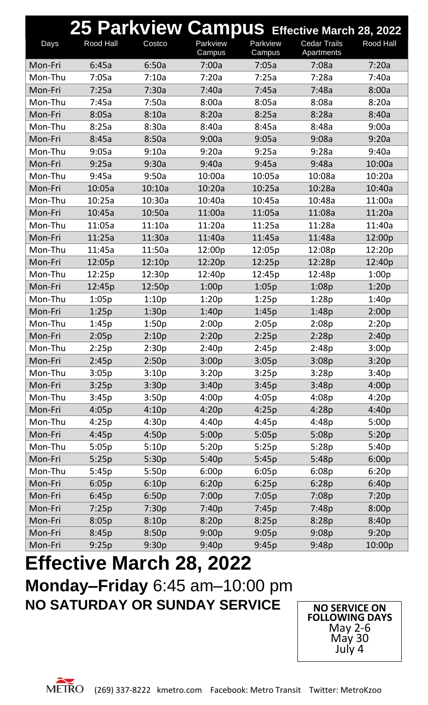|         | 25 Parkview Campus Effective March 28, 2022 |        |                    |                    |                                   |           |
|---------|---------------------------------------------|--------|--------------------|--------------------|-----------------------------------|-----------|
| Days    | Rood Hall                                   | Costco | Parkview<br>Campus | Parkview<br>Campus | <b>Cedar Trails</b><br>Apartments | Rood Hall |
| Mon-Fri | 6:45a                                       | 6:50a  | 7:00a              | 7:05a              | 7:08a                             | 7:20a     |
| Mon-Thu | 7:05a                                       | 7:10a  | 7:20a              | 7:25a              | 7:28a                             | 7:40a     |
| Mon-Fri | 7:25a                                       | 7:30a  | 7:40a              | 7:45a              | 7:48a                             | 8:00a     |
| Mon-Thu | 7:45a                                       | 7:50a  | 8:00a              | 8:05a              | 8:08a                             | 8:20a     |
| Mon-Fri | 8:05a                                       | 8:10a  | 8:20a              | 8:25a              | 8:28a                             | 8:40a     |
| Mon-Thu | 8:25a                                       | 8:30a  | 8:40a              | 8:45a              | 8:48a                             | 9:00a     |
| Mon-Fri | 8:45a                                       | 8:50a  | 9:00a              | 9:05a              | 9:08a                             | 9:20a     |
| Mon-Thu | 9:05a                                       | 9:10a  | 9:20a              | 9:25a              | 9:28a                             | 9:40a     |
| Mon-Fri | 9:25a                                       | 9:30a  | 9:40a              | 9:45a              | 9:48a                             | 10:00a    |
| Mon-Thu | 9:45a                                       | 9:50a  | 10:00a             | 10:05a             | 10:08a                            | 10:20a    |
| Mon-Fri | 10:05a                                      | 10:10a | 10:20a             | 10:25a             | 10:28a                            | 10:40a    |
| Mon-Thu | 10:25a                                      | 10:30a | 10:40a             | 10:45a             | 10:48a                            | 11:00a    |
| Mon-Fri | 10:45a                                      | 10:50a | 11:00a             | 11:05a             | 11:08a                            | 11:20a    |
| Mon-Thu | 11:05a                                      | 11:10a | 11:20a             | 11:25a             | 11:28a                            | 11:40a    |
| Mon-Fri | 11:25a                                      | 11:30a | 11:40a             | 11:45a             | 11:48a                            | 12:00p    |
| Mon-Thu | 11:45a                                      | 11:50a | 12:00p             | 12:05p             | 12:08p                            | 12:20p    |
| Mon-Fri | 12:05p                                      | 12:10p | 12:20p             | 12:25p             | 12:28p                            | 12:40p    |
| Mon-Thu | 12:25p                                      | 12:30p | 12:40p             | 12:45p             | 12:48p                            | 1:00p     |
| Mon-Fri | 12:45p                                      | 12:50p | 1:00p              | 1:05p              | 1:08p                             | 1:20p     |
| Mon-Thu | 1:05p                                       | 1:10p  | 1:20p              | 1:25p              | 1:28p                             | 1:40p     |
| Mon-Fri | 1:25p                                       | 1:30p  | 1:40p              | 1:45p              | 1:48p                             | 2:00p     |
| Mon-Thu | 1:45p                                       | 1:50p  | 2:00p              | 2:05p              | 2:08p                             | 2:20p     |
| Mon-Fri | 2:05p                                       | 2:10p  | 2:20p              | 2:25p              | 2:28p                             | 2:40p     |
| Mon-Thu | 2:25p                                       | 2:30p  | 2:40p              | 2:45p              | 2:48p                             | 3:00p     |
| Mon-Fri | 2:45p                                       | 2:50p  | 3:00p              | 3:05p              | 3:08p                             | 3:20p     |
| Mon-Thu | 3:05p                                       | 3:10p  | 3:20p              | 3:25p              | 3:28p                             | 3:40p     |
| Mon-Fri | 3:25p                                       | 3:30p  | 3:40p              | 3:45p              | 3:48p                             | 4:00p     |
| Mon-Thu | 3:45p                                       | 3:50p  | 4:00p              | 4:05p              | 4:08p                             | 4:20p     |
| Mon-Fri | 4:05p                                       | 4:10p  | 4:20p              | 4:25p              | 4:28p                             | 4:40p     |
| Mon-Thu | 4:25p                                       | 4:30p  | 4:40p              | 4:45p              | 4:48p                             | 5:00p     |
| Mon-Fri | 4:45p                                       | 4:50p  | 5:00p              | 5:05p              | 5:08p                             | 5:20p     |
| Mon-Thu | 5:05p                                       | 5:10p  | 5:20p              | 5:25p              | 5:28p                             | 5:40p     |
| Mon-Fri | 5:25p                                       | 5:30p  | 5:40p              | 5:45p              | 5:48p                             | 6:00p     |
| Mon-Thu | 5:45p                                       | 5:50p  | 6:00p              | 6:05p              | 6:08p                             | 6:20p     |
| Mon-Fri | 6:05p                                       | 6:10p  | 6:20p              | 6:25p              | 6:28p                             | 6:40p     |
| Mon-Fri | 6:45p                                       | 6:50p  | 7:00p              | 7:05p              | 7:08p                             | 7:20p     |
| Mon-Fri | 7:25p                                       | 7:30p  | 7:40p              | 7:45p              | 7:48p                             | 8:00p     |
| Mon-Fri | 8:05p                                       | 8:10p  | 8:20p              | 8:25p              | 8:28p                             | 8:40p     |
| Mon-Fri | 8:45p                                       | 8:50p  | 9:00p              | 9:05p              | 9:08p                             | 9:20p     |
| Mon-Fri | 9:25p                                       | 9:30p  | 9:40p              | 9:45p              | 9:48p                             | 10:00p    |

#### **Effective March 28, 2022 Monday–Friday** 6:45 am–10:00 pm **NO SATURDAY OR SUNDAY SERVICE** MO SERVICE ON

**FOLLOWING DAYS** May 2-6 May 30 July 4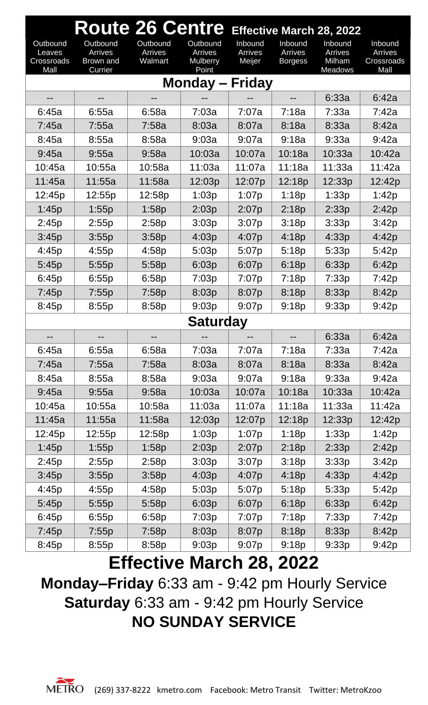| <b>Route 26 Centre</b><br><b>Effective March 28, 2022</b> |                                             |                                |                                          |                              |                                      |                                                |                                          |
|-----------------------------------------------------------|---------------------------------------------|--------------------------------|------------------------------------------|------------------------------|--------------------------------------|------------------------------------------------|------------------------------------------|
| Outbound<br>Leaves<br>Crossroads<br>Mall                  | Outbound<br>Arrives<br>Brown and<br>Currier | Outbound<br>Arrives<br>Walmart | Outbound<br>Arrives<br>Mulberry<br>Point | Inbound<br>Arrives<br>Meijer | Inbound<br>Arrives<br><b>Borgess</b> | Inbound<br>Arrives<br>Milham<br><b>Meadows</b> | Inbound<br>Arrives<br>Crossroads<br>Mall |
|                                                           |                                             |                                | <b>Monday – Friday</b>                   |                              |                                      |                                                |                                          |
|                                                           |                                             |                                |                                          |                              |                                      | 6:33a                                          | 6:42a                                    |
| 6:45a                                                     | 6:55a                                       | 6:58a                          | 7:03a                                    | 7:07a                        | 7:18a                                | 7:33a                                          | 7:42a                                    |
| 7:45a                                                     | 7:55a                                       | 7:58a                          | 8:03a                                    | 8:07a                        | 8:18a                                | 8:33a                                          | 8:42a                                    |
| 8:45a                                                     | 8:55a                                       | 8:58a                          | 9:03a                                    | 9:07a                        | 9:18a                                | 9:33a                                          | 9:42a                                    |
| 9:45a                                                     | 9:55a                                       | 9:58a                          | 10:03a                                   | 10:07a                       | 10:18a                               | 10:33a                                         | 10:42a                                   |
| 10:45a                                                    | 10:55a                                      | 10:58a                         | 11:03a                                   | 11:07a                       | 11:18a                               | 11:33a                                         | 11:42a                                   |
| 11:45a                                                    | 11:55a                                      | 11:58a                         | 12:03p                                   | 12:07p                       | 12:18p                               | 12:33p                                         | 12:42p                                   |
| 12:45p                                                    | 12:55p                                      | 12:58p                         | 1:03p                                    | 1:07p                        | 1:18p                                | 1:33p                                          | 1:42p                                    |
| 1:45p                                                     | 1:55p                                       | 1:58p                          | 2:03p                                    | 2:07p                        | 2:18p                                | 2:33p                                          | 2:42p                                    |
| 2:45p                                                     | 2:55p                                       | 2:58p                          | 3:03p                                    | 3:07p                        | 3:18p                                | 3:33p                                          | 3:42p                                    |
| 3:45p                                                     | 3:55p                                       | 3:58p                          | 4:03p                                    | 4:07p                        | 4:18p                                | 4:33p                                          | 4:42p                                    |
| 4:45p                                                     | 4:55p                                       | 4:58p                          | 5:03p                                    | 5:07p                        | 5:18p                                | 5:33p                                          | 5:42p                                    |
| 5:45p                                                     | 5:55p                                       | 5:58p                          | 6:03p                                    | 6:07p                        | 6:18p                                | 6:33p                                          | 6:42p                                    |
| 6:45p                                                     | 6:55p                                       | 6:58p                          | 7:03p                                    | 7:07p                        | 7:18p                                | 7:33p                                          | 7:42p                                    |
| 7:45p                                                     | 7:55p                                       | 7:58p                          | 8:03p                                    | 8:07p                        | 8:18p                                | 8:33p                                          | 8:42p                                    |
| 8:45p                                                     | 8:55p                                       | 8:58p                          | 9:03p                                    | 9:07p                        | 9:18p                                | 9:33p                                          | 9:42p                                    |
|                                                           |                                             |                                | <b>Saturday</b>                          |                              |                                      |                                                |                                          |
|                                                           |                                             |                                |                                          |                              |                                      | 6:33a                                          | 6:42a                                    |
| 6:45a                                                     | 6:55a                                       | 6:58a                          | 7:03a                                    | 7:07a                        | 7:18a                                | 7:33a                                          | 7:42a                                    |
| 7:45a                                                     | 7:55a                                       | 7:58a                          | 8:03a                                    | 8:07a                        | 8:18a                                | 8:33a                                          | 8:42a                                    |
| 8:45a                                                     | 8:55a                                       | 8:58a                          | 9:03a                                    | 9:07a                        | 9:18a                                | 9:33a                                          | 9:42a                                    |
| 9:45a                                                     | 9:55a                                       | 9:58a                          | 10:03a                                   | 10:07a                       | 10:18a                               | 10:33a                                         | 10:42a                                   |
| 10:45a                                                    | 10:55a                                      | 10:58a                         | 11:03a                                   | 11:07a                       | 11:18a                               | 11:33a                                         | 11:42a                                   |
| 11:45a                                                    | 11:55a                                      | 11:58a                         | 12:03p                                   | 12:07p                       | 12:18p                               | 12:33p                                         | 12:42p                                   |
| 12:45p                                                    | 12:55p                                      | 12:58p                         | 1:03p                                    | 1:07p                        | 1:18p                                | 1:33p                                          | 1:42p                                    |
| 1:45p                                                     | 1:55p                                       | 1:58p                          | 2:03p                                    | 2:07p                        | 2:18p                                | 2:33p                                          | 2:42p                                    |
| 2:45p                                                     | 2:55p                                       | 2:58p                          | 3:03p                                    | 3:07p                        | 3:18p                                | 3:33p                                          | 3:42p                                    |
| 3:45p                                                     | 3:55p                                       | 3:58p                          | 4:03p                                    | 4:07p                        | 4:18p                                | 4:33p                                          | 4:42p                                    |
| 4:45p                                                     | 4:55p                                       | 4:58p                          | 5:03p                                    | 5:07p                        | 5:18p                                | 5:33p                                          | 5:42p                                    |
| 5:45p                                                     | 5:55p                                       | 5:58p                          | 6:03p                                    | 6:07p                        | 6:18p                                | 6:33p                                          | 6:42p                                    |
| 6:45p                                                     | 6:55p                                       | 6:58p                          | 7:03p                                    | 7:07p                        | 7:18p                                | 7:33p                                          | 7:42p                                    |
| 7:45p                                                     | 7:55p                                       | 7:58p                          | 8:03p                                    | 8:07p                        | 8:18p                                | 8:33p                                          | 8:42p                                    |
| 8:45p                                                     | 8:55p                                       | 8:58p                          | 9:03p                                    | 9:07p                        | 9:18p                                | 9:33p                                          | 9:42p                                    |

**Effective March 28, 2022 Monday–Friday** 6:33 am - 9:42 pm Hourly Service **Saturday** 6:33 am - 9:42 pm Hourly Service **NO SUNDAY SERVICE**